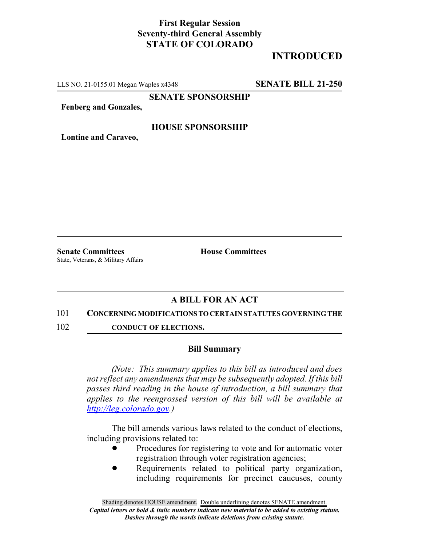### **First Regular Session Seventy-third General Assembly STATE OF COLORADO**

## **INTRODUCED**

LLS NO. 21-0155.01 Megan Waples x4348 **SENATE BILL 21-250**

**SENATE SPONSORSHIP**

**Fenberg and Gonzales,**

#### **HOUSE SPONSORSHIP**

**Lontine and Caraveo,**

**Senate Committees House Committees** State, Veterans, & Military Affairs

### **A BILL FOR AN ACT**

#### 101 **CONCERNING MODIFICATIONS TO CERTAIN STATUTES GOVERNING THE**

102 **CONDUCT OF ELECTIONS.** 

#### **Bill Summary**

*(Note: This summary applies to this bill as introduced and does not reflect any amendments that may be subsequently adopted. If this bill passes third reading in the house of introduction, a bill summary that applies to the reengrossed version of this bill will be available at http://leg.colorado.gov.)*

The bill amends various laws related to the conduct of elections, including provisions related to:

- Procedures for registering to vote and for automatic voter registration through voter registration agencies;
- Requirements related to political party organization, including requirements for precinct caucuses, county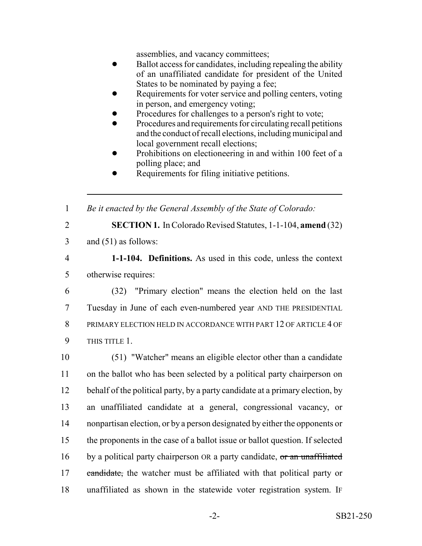assemblies, and vacancy committees;

- Ballot access for candidates, including repealing the ability of an unaffiliated candidate for president of the United States to be nominated by paying a fee;
- Requirements for voter service and polling centers, voting in person, and emergency voting;
- Procedures for challenges to a person's right to vote;
- ! Procedures and requirements for circulating recall petitions and the conduct of recall elections, including municipal and local government recall elections;
- Prohibitions on electioneering in and within 100 feet of a polling place; and
- Requirements for filing initiative petitions.

1 *Be it enacted by the General Assembly of the State of Colorado:*

2 **SECTION 1.** In Colorado Revised Statutes, 1-1-104, **amend** (32)

3 and (51) as follows:

4 **1-1-104. Definitions.** As used in this code, unless the context 5 otherwise requires:

 (32) "Primary election" means the election held on the last Tuesday in June of each even-numbered year AND THE PRESIDENTIAL PRIMARY ELECTION HELD IN ACCORDANCE WITH PART 12 OF ARTICLE 4 OF 9 THIS TITLE 1.

 (51) "Watcher" means an eligible elector other than a candidate on the ballot who has been selected by a political party chairperson on 12 behalf of the political party, by a party candidate at a primary election, by an unaffiliated candidate at a general, congressional vacancy, or nonpartisan election, or by a person designated by either the opponents or the proponents in the case of a ballot issue or ballot question. If selected 16 by a political party chairperson OR a party candidate, or an unaffiliated 17 candidate, the watcher must be affiliated with that political party or unaffiliated as shown in the statewide voter registration system. IF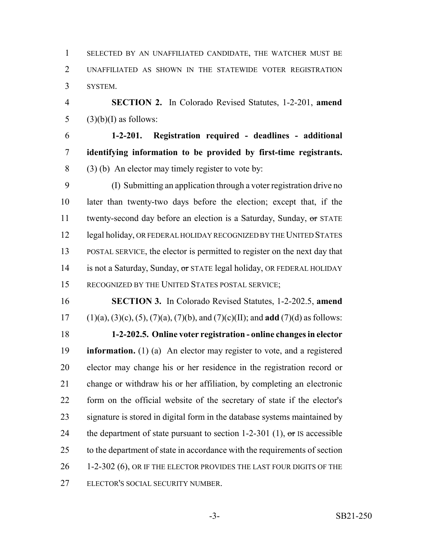SELECTED BY AN UNAFFILIATED CANDIDATE, THE WATCHER MUST BE UNAFFILIATED AS SHOWN IN THE STATEWIDE VOTER REGISTRATION SYSTEM.

 **SECTION 2.** In Colorado Revised Statutes, 1-2-201, **amend** 5  $(3)(b)(I)$  as follows:

 **1-2-201. Registration required - deadlines - additional identifying information to be provided by first-time registrants.** (3) (b) An elector may timely register to vote by:

 (I) Submitting an application through a voter registration drive no later than twenty-two days before the election; except that, if the 11 twenty-second day before an election is a Saturday, Sunday, or STATE 12 legal holiday, OR FEDERAL HOLIDAY RECOGNIZED BY THE UNITED STATES POSTAL SERVICE, the elector is permitted to register on the next day that 14 is not a Saturday, Sunday, or STATE legal holiday, OR FEDERAL HOLIDAY RECOGNIZED BY THE UNITED STATES POSTAL SERVICE;

 **SECTION 3.** In Colorado Revised Statutes, 1-2-202.5, **amend** (1)(a), (3)(c), (5), (7)(a), (7)(b), and (7)(c)(II); and **add** (7)(d) as follows: **1-2-202.5. Online voter registration - online changes in elector information.** (1) (a) An elector may register to vote, and a registered elector may change his or her residence in the registration record or change or withdraw his or her affiliation, by completing an electronic form on the official website of the secretary of state if the elector's signature is stored in digital form in the database systems maintained by 24 the department of state pursuant to section 1-2-301 (1),  $\sigma$ r IS accessible 25 to the department of state in accordance with the requirements of section 26 1-2-302 (6), OR IF THE ELECTOR PROVIDES THE LAST FOUR DIGITS OF THE ELECTOR'S SOCIAL SECURITY NUMBER.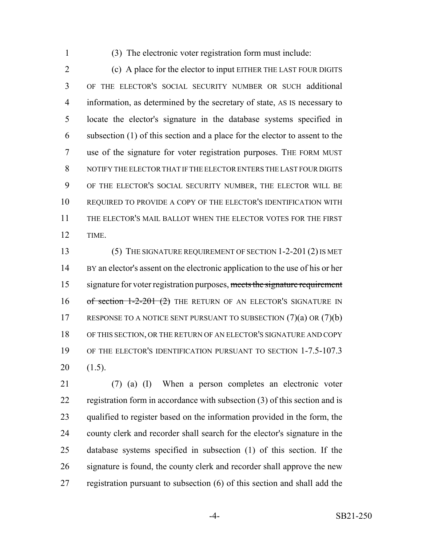(3) The electronic voter registration form must include:

 (c) A place for the elector to input EITHER THE LAST FOUR DIGITS OF THE ELECTOR'S SOCIAL SECURITY NUMBER OR SUCH additional information, as determined by the secretary of state, AS IS necessary to locate the elector's signature in the database systems specified in subsection (1) of this section and a place for the elector to assent to the use of the signature for voter registration purposes. THE FORM MUST NOTIFY THE ELECTOR THAT IF THE ELECTOR ENTERS THE LAST FOUR DIGITS OF THE ELECTOR'S SOCIAL SECURITY NUMBER, THE ELECTOR WILL BE REQUIRED TO PROVIDE A COPY OF THE ELECTOR'S IDENTIFICATION WITH THE ELECTOR'S MAIL BALLOT WHEN THE ELECTOR VOTES FOR THE FIRST TIME.

13 (5) THE SIGNATURE REQUIREMENT OF SECTION 1-2-201 (2) IS MET BY an elector's assent on the electronic application to the use of his or her 15 signature for voter registration purposes, meets the signature requirement 16 of section 1-2-201 (2) THE RETURN OF AN ELECTOR'S SIGNATURE IN 17 RESPONSE TO A NOTICE SENT PURSUANT TO SUBSECTION (7)(a) OR (7)(b) OF THIS SECTION, OR THE RETURN OF AN ELECTOR'S SIGNATURE AND COPY OF THE ELECTOR'S IDENTIFICATION PURSUANT TO SECTION 1-7.5-107.3 (1.5).

 (7) (a) (I) When a person completes an electronic voter registration form in accordance with subsection (3) of this section and is qualified to register based on the information provided in the form, the county clerk and recorder shall search for the elector's signature in the database systems specified in subsection (1) of this section. If the 26 signature is found, the county clerk and recorder shall approve the new registration pursuant to subsection (6) of this section and shall add the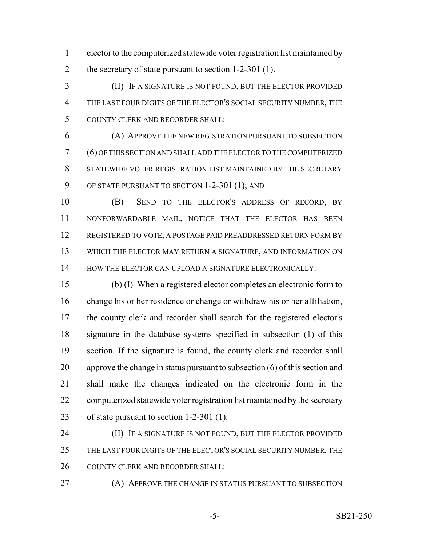elector to the computerized statewide voter registration list maintained by 2 the secretary of state pursuant to section 1-2-301 (1).

 (II) IF A SIGNATURE IS NOT FOUND, BUT THE ELECTOR PROVIDED THE LAST FOUR DIGITS OF THE ELECTOR'S SOCIAL SECURITY NUMBER, THE COUNTY CLERK AND RECORDER SHALL:

 (A) APPROVE THE NEW REGISTRATION PURSUANT TO SUBSECTION (6) OF THIS SECTION AND SHALL ADD THE ELECTOR TO THE COMPUTERIZED STATEWIDE VOTER REGISTRATION LIST MAINTAINED BY THE SECRETARY OF STATE PURSUANT TO SECTION 1-2-301 (1); AND

 (B) SEND TO THE ELECTOR'S ADDRESS OF RECORD, BY NONFORWARDABLE MAIL, NOTICE THAT THE ELECTOR HAS BEEN REGISTERED TO VOTE, A POSTAGE PAID PREADDRESSED RETURN FORM BY WHICH THE ELECTOR MAY RETURN A SIGNATURE, AND INFORMATION ON 14 HOW THE ELECTOR CAN UPLOAD A SIGNATURE ELECTRONICALLY.

 (b) (I) When a registered elector completes an electronic form to change his or her residence or change or withdraw his or her affiliation, the county clerk and recorder shall search for the registered elector's signature in the database systems specified in subsection (1) of this section. If the signature is found, the county clerk and recorder shall approve the change in status pursuant to subsection (6) of this section and shall make the changes indicated on the electronic form in the computerized statewide voter registration list maintained by the secretary of state pursuant to section 1-2-301 (1).

**(II)** IF A SIGNATURE IS NOT FOUND, BUT THE ELECTOR PROVIDED 25 THE LAST FOUR DIGITS OF THE ELECTOR'S SOCIAL SECURITY NUMBER, THE 26 COUNTY CLERK AND RECORDER SHALL:

**(A) APPROVE THE CHANGE IN STATUS PURSUANT TO SUBSECTION**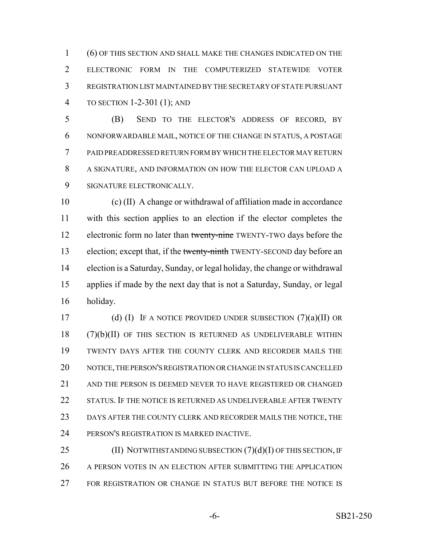(6) OF THIS SECTION AND SHALL MAKE THE CHANGES INDICATED ON THE ELECTRONIC FORM IN THE COMPUTERIZED STATEWIDE VOTER REGISTRATION LIST MAINTAINED BY THE SECRETARY OF STATE PURSUANT TO SECTION 1-2-301 (1); AND

 (B) SEND TO THE ELECTOR'S ADDRESS OF RECORD, BY NONFORWARDABLE MAIL, NOTICE OF THE CHANGE IN STATUS, A POSTAGE PAID PREADDRESSED RETURN FORM BY WHICH THE ELECTOR MAY RETURN A SIGNATURE, AND INFORMATION ON HOW THE ELECTOR CAN UPLOAD A SIGNATURE ELECTRONICALLY.

 (c) (II) A change or withdrawal of affiliation made in accordance with this section applies to an election if the elector completes the 12 electronic form no later than twenty-nine TWENTY-TWO days before the 13 election; except that, if the twenty-ninth TWENTY-SECOND day before an election is a Saturday, Sunday, or legal holiday, the change or withdrawal applies if made by the next day that is not a Saturday, Sunday, or legal holiday.

17 (d) (I) IF A NOTICE PROVIDED UNDER SUBSECTION  $(7)(a)(II)$  OR (7)(b)(II) OF THIS SECTION IS RETURNED AS UNDELIVERABLE WITHIN TWENTY DAYS AFTER THE COUNTY CLERK AND RECORDER MAILS THE NOTICE, THE PERSON'S REGISTRATION OR CHANGE IN STATUS IS CANCELLED 21 AND THE PERSON IS DEEMED NEVER TO HAVE REGISTERED OR CHANGED 22 STATUS. IF THE NOTICE IS RETURNED AS UNDELIVERABLE AFTER TWENTY DAYS AFTER THE COUNTY CLERK AND RECORDER MAILS THE NOTICE, THE PERSON'S REGISTRATION IS MARKED INACTIVE.

25 (II) NOTWITHSTANDING SUBSECTION (7)(d)(I) OF THIS SECTION, IF 26 A PERSON VOTES IN AN ELECTION AFTER SUBMITTING THE APPLICATION FOR REGISTRATION OR CHANGE IN STATUS BUT BEFORE THE NOTICE IS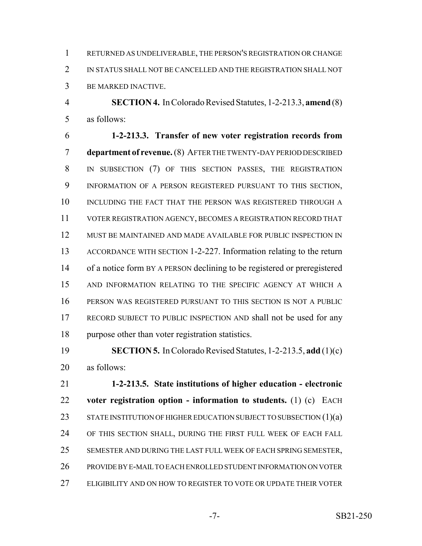RETURNED AS UNDELIVERABLE, THE PERSON'S REGISTRATION OR CHANGE IN STATUS SHALL NOT BE CANCELLED AND THE REGISTRATION SHALL NOT BE MARKED INACTIVE.

 **SECTION 4.** In Colorado Revised Statutes, 1-2-213.3, **amend** (8) as follows:

 **1-2-213.3. Transfer of new voter registration records from department of revenue.** (8) AFTER THE TWENTY-DAY PERIOD DESCRIBED IN SUBSECTION (7) OF THIS SECTION PASSES, THE REGISTRATION INFORMATION OF A PERSON REGISTERED PURSUANT TO THIS SECTION, 10 INCLUDING THE FACT THAT THE PERSON WAS REGISTERED THROUGH A VOTER REGISTRATION AGENCY, BECOMES A REGISTRATION RECORD THAT MUST BE MAINTAINED AND MADE AVAILABLE FOR PUBLIC INSPECTION IN ACCORDANCE WITH SECTION 1-2-227. Information relating to the return 14 of a notice form BY A PERSON declining to be registered or preregistered AND INFORMATION RELATING TO THE SPECIFIC AGENCY AT WHICH A PERSON WAS REGISTERED PURSUANT TO THIS SECTION IS NOT A PUBLIC RECORD SUBJECT TO PUBLIC INSPECTION AND shall not be used for any purpose other than voter registration statistics.

 **SECTION 5.** In Colorado Revised Statutes, 1-2-213.5, **add** (1)(c) as follows:

 **1-2-213.5. State institutions of higher education - electronic voter registration option - information to students.** (1) (c) EACH 23 STATE INSTITUTION OF HIGHER EDUCATION SUBJECT TO SUBSECTION (1)(a) OF THIS SECTION SHALL, DURING THE FIRST FULL WEEK OF EACH FALL SEMESTER AND DURING THE LAST FULL WEEK OF EACH SPRING SEMESTER, PROVIDE BY E-MAIL TO EACH ENROLLED STUDENT INFORMATION ON VOTER ELIGIBILITY AND ON HOW TO REGISTER TO VOTE OR UPDATE THEIR VOTER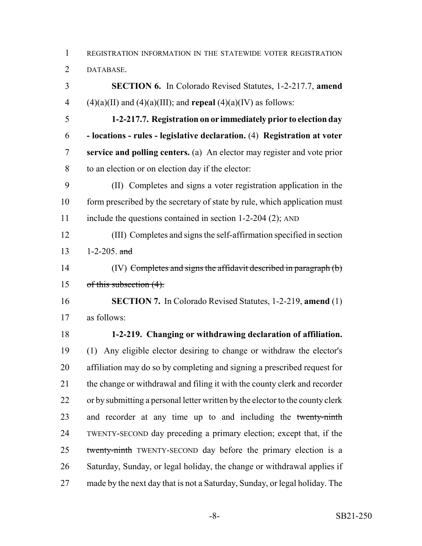REGISTRATION INFORMATION IN THE STATEWIDE VOTER REGISTRATION DATABASE.

 **SECTION 6.** In Colorado Revised Statutes, 1-2-217.7, **amend** 4 (4)(a)(II) and (4)(a)(III); and **repeal** (4)(a)(IV) as follows:

 **1-2-217.7. Registration on or immediately prior to election day - locations - rules - legislative declaration.** (4) **Registration at voter service and polling centers.** (a) An elector may register and vote prior to an election or on election day if the elector:

 (II) Completes and signs a voter registration application in the 10 form prescribed by the secretary of state by rule, which application must 11 include the questions contained in section 1-2-204 (2); AND

 (III) Completes and signs the self-affirmation specified in section 13 1-2-205.  $\frac{1}{2}$ 

 (IV) Completes and signs the affidavit described in paragraph (b) of this subsection (4).

 **SECTION 7.** In Colorado Revised Statutes, 1-2-219, **amend** (1) as follows:

## **1-2-219. Changing or withdrawing declaration of affiliation.**

 (1) Any eligible elector desiring to change or withdraw the elector's affiliation may do so by completing and signing a prescribed request for 21 the change or withdrawal and filing it with the county clerk and recorder 22 or by submitting a personal letter written by the elector to the county clerk 23 and recorder at any time up to and including the twenty-ninth TWENTY-SECOND day preceding a primary election; except that, if the 25 twenty-ninth TWENTY-SECOND day before the primary election is a Saturday, Sunday, or legal holiday, the change or withdrawal applies if made by the next day that is not a Saturday, Sunday, or legal holiday. The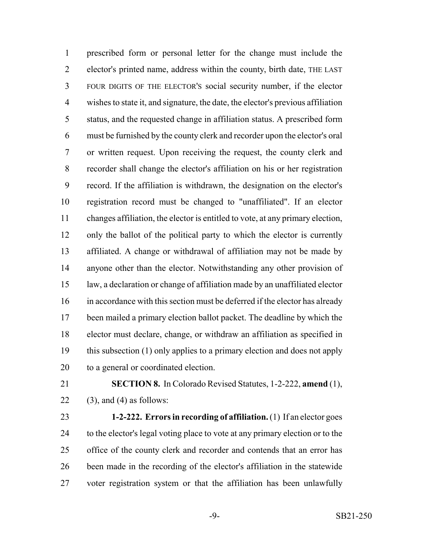prescribed form or personal letter for the change must include the elector's printed name, address within the county, birth date, THE LAST FOUR DIGITS OF THE ELECTOR'S social security number, if the elector wishes to state it, and signature, the date, the elector's previous affiliation status, and the requested change in affiliation status. A prescribed form must be furnished by the county clerk and recorder upon the elector's oral or written request. Upon receiving the request, the county clerk and recorder shall change the elector's affiliation on his or her registration record. If the affiliation is withdrawn, the designation on the elector's registration record must be changed to "unaffiliated". If an elector changes affiliation, the elector is entitled to vote, at any primary election, only the ballot of the political party to which the elector is currently affiliated. A change or withdrawal of affiliation may not be made by anyone other than the elector. Notwithstanding any other provision of law, a declaration or change of affiliation made by an unaffiliated elector in accordance with this section must be deferred if the elector has already been mailed a primary election ballot packet. The deadline by which the elector must declare, change, or withdraw an affiliation as specified in this subsection (1) only applies to a primary election and does not apply to a general or coordinated election.

 **SECTION 8.** In Colorado Revised Statutes, 1-2-222, **amend** (1), 22 (3), and (4) as follows:

 **1-2-222. Errors in recording of affiliation.** (1) If an elector goes to the elector's legal voting place to vote at any primary election or to the 25 office of the county clerk and recorder and contends that an error has been made in the recording of the elector's affiliation in the statewide voter registration system or that the affiliation has been unlawfully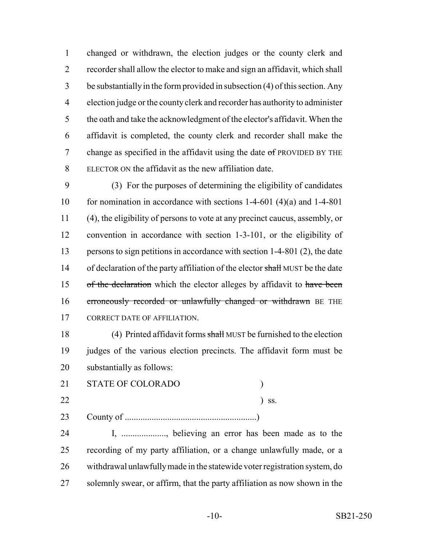changed or withdrawn, the election judges or the county clerk and recorder shall allow the elector to make and sign an affidavit, which shall be substantially in the form provided in subsection (4) of this section. Any election judge or the county clerk and recorder has authority to administer the oath and take the acknowledgment of the elector's affidavit. When the affidavit is completed, the county clerk and recorder shall make the 7 change as specified in the affidavit using the date of PROVIDED BY THE ELECTOR ON the affidavit as the new affiliation date.

 (3) For the purposes of determining the eligibility of candidates 10 for nomination in accordance with sections 1-4-601 (4)(a) and 1-4-801 (4), the eligibility of persons to vote at any precinct caucus, assembly, or convention in accordance with section 1-3-101, or the eligibility of persons to sign petitions in accordance with section 1-4-801 (2), the date 14 of declaration of the party affiliation of the elector shall MUST be the date 15 of the declaration which the elector alleges by affidavit to have been 16 erroneously recorded or unlawfully changed or withdrawn BE THE 17 CORRECT DATE OF AFFILIATION.

18 (4) Printed affidavit forms shall MUST be furnished to the election judges of the various election precincts. The affidavit form must be substantially as follows:

21 STATE OF COLORADO )

) ss.

County of ...........................................................)

 I, ...................., believing an error has been made as to the recording of my party affiliation, or a change unlawfully made, or a withdrawal unlawfully made in the statewide voter registration system, do solemnly swear, or affirm, that the party affiliation as now shown in the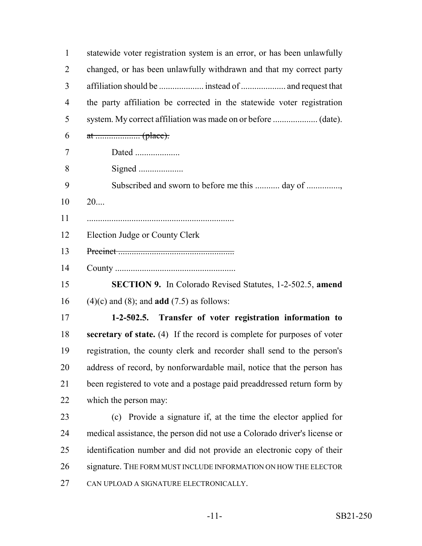| $\mathbf{1}$ | statewide voter registration system is an error, or has been unlawfully   |
|--------------|---------------------------------------------------------------------------|
| 2            | changed, or has been unlawfully withdrawn and that my correct party       |
| 3            |                                                                           |
| 4            | the party affiliation be corrected in the statewide voter registration    |
| 5            |                                                                           |
| 6            |                                                                           |
| 7            | Dated                                                                     |
| 8            |                                                                           |
| 9            | Subscribed and sworn to before me this  day of                            |
| 10           | 20                                                                        |
| 11           |                                                                           |
| 12           | Election Judge or County Clerk                                            |
| 13           |                                                                           |
| 14           |                                                                           |
| 15           | <b>SECTION 9.</b> In Colorado Revised Statutes, 1-2-502.5, amend          |
| 16           | $(4)(c)$ and $(8)$ ; and <b>add</b> $(7.5)$ as follows:                   |
| 17           | 1-2-502.5. Transfer of voter registration information to                  |
| 18           | secretary of state. (4) If the record is complete for purposes of voter   |
| 19           | registration, the county clerk and recorder shall send to the person's    |
| 20           | address of record, by nonforwardable mail, notice that the person has     |
| 21           | been registered to vote and a postage paid preaddressed return form by    |
| 22           | which the person may:                                                     |
| 23           | Provide a signature if, at the time the elector applied for<br>(c)        |
| 24           | medical assistance, the person did not use a Colorado driver's license or |
| 25           | identification number and did not provide an electronic copy of their     |
| 26           | signature. THE FORM MUST INCLUDE INFORMATION ON HOW THE ELECTOR           |
| 27           | CAN UPLOAD A SIGNATURE ELECTRONICALLY.                                    |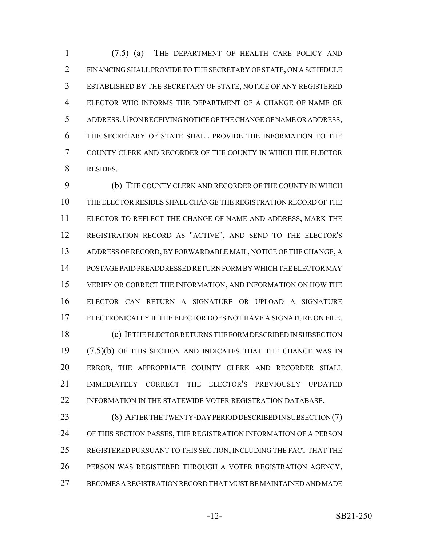(7.5) (a) THE DEPARTMENT OF HEALTH CARE POLICY AND FINANCING SHALL PROVIDE TO THE SECRETARY OF STATE, ON A SCHEDULE ESTABLISHED BY THE SECRETARY OF STATE, NOTICE OF ANY REGISTERED ELECTOR WHO INFORMS THE DEPARTMENT OF A CHANGE OF NAME OR ADDRESS.UPON RECEIVING NOTICE OF THE CHANGE OF NAME OR ADDRESS, THE SECRETARY OF STATE SHALL PROVIDE THE INFORMATION TO THE COUNTY CLERK AND RECORDER OF THE COUNTY IN WHICH THE ELECTOR RESIDES.

 (b) THE COUNTY CLERK AND RECORDER OF THE COUNTY IN WHICH THE ELECTOR RESIDES SHALL CHANGE THE REGISTRATION RECORD OF THE ELECTOR TO REFLECT THE CHANGE OF NAME AND ADDRESS, MARK THE REGISTRATION RECORD AS "ACTIVE", AND SEND TO THE ELECTOR'S ADDRESS OF RECORD, BY FORWARDABLE MAIL, NOTICE OF THE CHANGE, A POSTAGE PAID PREADDRESSED RETURN FORM BY WHICH THE ELECTOR MAY VERIFY OR CORRECT THE INFORMATION, AND INFORMATION ON HOW THE ELECTOR CAN RETURN A SIGNATURE OR UPLOAD A SIGNATURE ELECTRONICALLY IF THE ELECTOR DOES NOT HAVE A SIGNATURE ON FILE. (c) IF THE ELECTOR RETURNS THE FORM DESCRIBED IN SUBSECTION (7.5)(b) OF THIS SECTION AND INDICATES THAT THE CHANGE WAS IN ERROR, THE APPROPRIATE COUNTY CLERK AND RECORDER SHALL

 IMMEDIATELY CORRECT THE ELECTOR'S PREVIOUSLY UPDATED 22 INFORMATION IN THE STATEWIDE VOTER REGISTRATION DATABASE.

23 (8) AFTER THE TWENTY-DAY PERIOD DESCRIBED IN SUBSECTION (7) OF THIS SECTION PASSES, THE REGISTRATION INFORMATION OF A PERSON REGISTERED PURSUANT TO THIS SECTION, INCLUDING THE FACT THAT THE PERSON WAS REGISTERED THROUGH A VOTER REGISTRATION AGENCY, BECOMES A REGISTRATION RECORD THAT MUST BE MAINTAINED AND MADE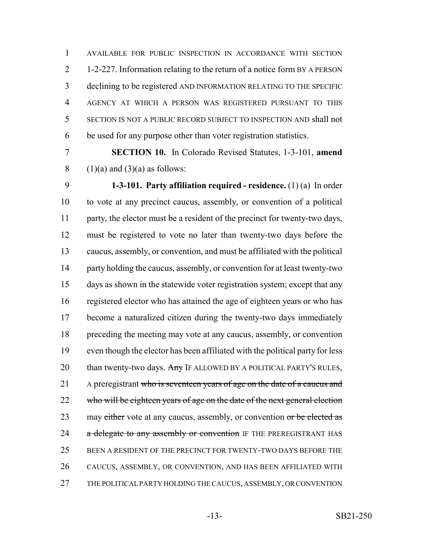AVAILABLE FOR PUBLIC INSPECTION IN ACCORDANCE WITH SECTION 1-2-227. Information relating to the return of a notice form BY A PERSON declining to be registered AND INFORMATION RELATING TO THE SPECIFIC AGENCY AT WHICH A PERSON WAS REGISTERED PURSUANT TO THIS SECTION IS NOT A PUBLIC RECORD SUBJECT TO INSPECTION AND shall not be used for any purpose other than voter registration statistics.

 **SECTION 10.** In Colorado Revised Statutes, 1-3-101, **amend** 8 (1)(a) and (3)(a) as follows:

 **1-3-101. Party affiliation required - residence.** (1) (a) In order to vote at any precinct caucus, assembly, or convention of a political party, the elector must be a resident of the precinct for twenty-two days, must be registered to vote no later than twenty-two days before the caucus, assembly, or convention, and must be affiliated with the political 14 party holding the caucus, assembly, or convention for at least twenty-two days as shown in the statewide voter registration system; except that any registered elector who has attained the age of eighteen years or who has become a naturalized citizen during the twenty-two days immediately preceding the meeting may vote at any caucus, assembly, or convention even though the elector has been affiliated with the political party for less 20 than twenty-two days. Any IF ALLOWED BY A POLITICAL PARTY'S RULES, 21 A preregistrant who is seventeen years of age on the date of a caucus and 22 who will be eighteen years of age on the date of the next general election 23 may either vote at any caucus, assembly, or convention or be elected as 24 a delegate to any assembly or convention IF THE PREREGISTRANT HAS BEEN A RESIDENT OF THE PRECINCT FOR TWENTY-TWO DAYS BEFORE THE CAUCUS, ASSEMBLY, OR CONVENTION, AND HAS BEEN AFFILIATED WITH THE POLITICAL PARTY HOLDING THE CAUCUS, ASSEMBLY, OR CONVENTION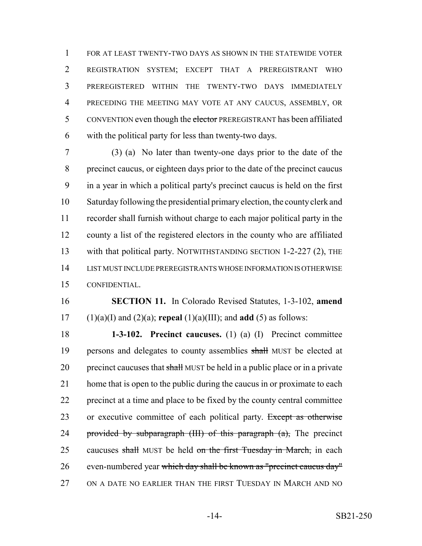FOR AT LEAST TWENTY-TWO DAYS AS SHOWN IN THE STATEWIDE VOTER REGISTRATION SYSTEM; EXCEPT THAT A PREREGISTRANT WHO PREREGISTERED WITHIN THE TWENTY-TWO DAYS IMMEDIATELY PRECEDING THE MEETING MAY VOTE AT ANY CAUCUS, ASSEMBLY, OR 5 CONVENTION even though the elector PREREGISTRANT has been affiliated with the political party for less than twenty-two days.

 (3) (a) No later than twenty-one days prior to the date of the precinct caucus, or eighteen days prior to the date of the precinct caucus in a year in which a political party's precinct caucus is held on the first Saturday following the presidential primary election, the county clerk and recorder shall furnish without charge to each major political party in the county a list of the registered electors in the county who are affiliated 13 with that political party. NOTWITHSTANDING SECTION 1-2-227 (2), THE LIST MUST INCLUDE PREREGISTRANTS WHOSE INFORMATION IS OTHERWISE CONFIDENTIAL.

 **SECTION 11.** In Colorado Revised Statutes, 1-3-102, **amend** (1)(a)(I) and (2)(a); **repeal** (1)(a)(III); and **add** (5) as follows:

 **1-3-102. Precinct caucuses.** (1) (a) (I) Precinct committee 19 persons and delegates to county assemblies shall MUST be elected at 20 precinct caucuses that shall MUST be held in a public place or in a private home that is open to the public during the caucus in or proximate to each precinct at a time and place to be fixed by the county central committee 23 or executive committee of each political party. Except as otherwise 24 provided by subparagraph  $(HI)$  of this paragraph  $(a)$ , The precinct 25 caucuses shall MUST be held on the first Tuesday in March, in each even-numbered year which day shall be known as "precinct caucus day" ON A DATE NO EARLIER THAN THE FIRST TUESDAY IN MARCH AND NO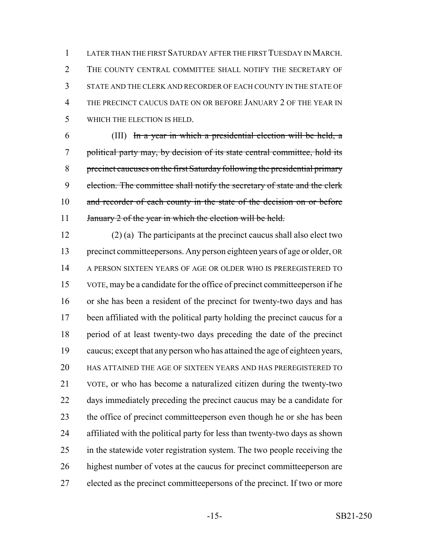LATER THAN THE FIRST SATURDAY AFTER THE FIRST TUESDAY IN MARCH. 2 THE COUNTY CENTRAL COMMITTEE SHALL NOTIFY THE SECRETARY OF STATE AND THE CLERK AND RECORDER OF EACH COUNTY IN THE STATE OF THE PRECINCT CAUCUS DATE ON OR BEFORE JANUARY 2 OF THE YEAR IN WHICH THE ELECTION IS HELD.

 (III) In a year in which a presidential election will be held, a political party may, by decision of its state central committee, hold its precinct caucuses on the first Saturday following the presidential primary 9 election. The committee shall notify the secretary of state and the clerk 10 and recorder of each county in the state of the decision on or before 11 January 2 of the year in which the election will be held.

 (2) (a) The participants at the precinct caucus shall also elect two precinct committeepersons. Any person eighteen years of age or older, OR A PERSON SIXTEEN YEARS OF AGE OR OLDER WHO IS PREREGISTERED TO VOTE, may be a candidate for the office of precinct committeeperson if he or she has been a resident of the precinct for twenty-two days and has been affiliated with the political party holding the precinct caucus for a period of at least twenty-two days preceding the date of the precinct caucus; except that any person who has attained the age of eighteen years, HAS ATTAINED THE AGE OF SIXTEEN YEARS AND HAS PREREGISTERED TO VOTE, or who has become a naturalized citizen during the twenty-two days immediately preceding the precinct caucus may be a candidate for the office of precinct committeeperson even though he or she has been affiliated with the political party for less than twenty-two days as shown 25 in the statewide voter registration system. The two people receiving the highest number of votes at the caucus for precinct committeeperson are elected as the precinct committeepersons of the precinct. If two or more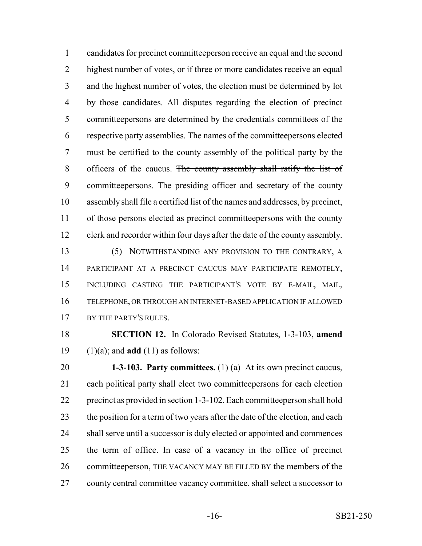candidates for precinct committeeperson receive an equal and the second 2 highest number of votes, or if three or more candidates receive an equal and the highest number of votes, the election must be determined by lot by those candidates. All disputes regarding the election of precinct committeepersons are determined by the credentials committees of the respective party assemblies. The names of the committeepersons elected must be certified to the county assembly of the political party by the 8 officers of the caucus. The county assembly shall ratify the list of 9 committeepersons. The presiding officer and secretary of the county assembly shall file a certified list of the names and addresses, by precinct, of those persons elected as precinct committeepersons with the county clerk and recorder within four days after the date of the county assembly. (5) NOTWITHSTANDING ANY PROVISION TO THE CONTRARY, A PARTICIPANT AT A PRECINCT CAUCUS MAY PARTICIPATE REMOTELY, INCLUDING CASTING THE PARTICIPANT'S VOTE BY E-MAIL, MAIL, TELEPHONE, OR THROUGH AN INTERNET-BASED APPLICATION IF ALLOWED 17 BY THE PARTY'S RULES.

## **SECTION 12.** In Colorado Revised Statutes, 1-3-103, **amend** (1)(a); and **add** (11) as follows:

 **1-3-103. Party committees.** (1) (a) At its own precinct caucus, each political party shall elect two committeepersons for each election precinct as provided in section 1-3-102. Each committeeperson shall hold 23 the position for a term of two years after the date of the election, and each 24 shall serve until a successor is duly elected or appointed and commences the term of office. In case of a vacancy in the office of precinct 26 committeeperson, THE VACANCY MAY BE FILLED BY the members of the 27 county central committee vacancy committee. shall select a successor to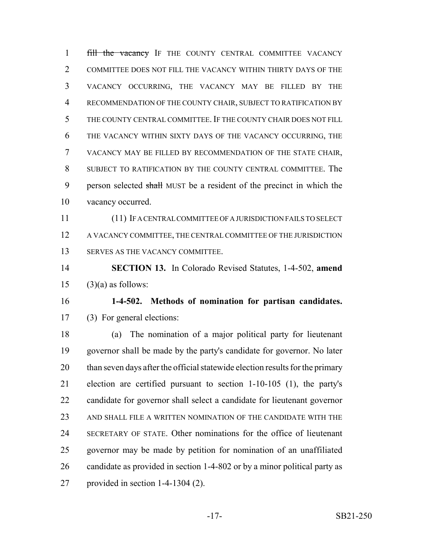1 fill the vacancy IF THE COUNTY CENTRAL COMMITTEE VACANCY COMMITTEE DOES NOT FILL THE VACANCY WITHIN THIRTY DAYS OF THE VACANCY OCCURRING, THE VACANCY MAY BE FILLED BY THE RECOMMENDATION OF THE COUNTY CHAIR, SUBJECT TO RATIFICATION BY THE COUNTY CENTRAL COMMITTEE. IF THE COUNTY CHAIR DOES NOT FILL THE VACANCY WITHIN SIXTY DAYS OF THE VACANCY OCCURRING, THE VACANCY MAY BE FILLED BY RECOMMENDATION OF THE STATE CHAIR, SUBJECT TO RATIFICATION BY THE COUNTY CENTRAL COMMITTEE. The 9 person selected shall MUST be a resident of the precinct in which the vacancy occurred.

 (11) IF A CENTRAL COMMITTEE OF A JURISDICTION FAILS TO SELECT A VACANCY COMMITTEE, THE CENTRAL COMMITTEE OF THE JURISDICTION SERVES AS THE VACANCY COMMITTEE.

 **SECTION 13.** In Colorado Revised Statutes, 1-4-502, **amend** 15  $(3)(a)$  as follows:

 **1-4-502. Methods of nomination for partisan candidates.** (3) For general elections:

 (a) The nomination of a major political party for lieutenant governor shall be made by the party's candidate for governor. No later 20 than seven days after the official statewide election results for the primary election are certified pursuant to section 1-10-105 (1), the party's candidate for governor shall select a candidate for lieutenant governor AND SHALL FILE A WRITTEN NOMINATION OF THE CANDIDATE WITH THE SECRETARY OF STATE. Other nominations for the office of lieutenant governor may be made by petition for nomination of an unaffiliated candidate as provided in section 1-4-802 or by a minor political party as provided in section 1-4-1304 (2).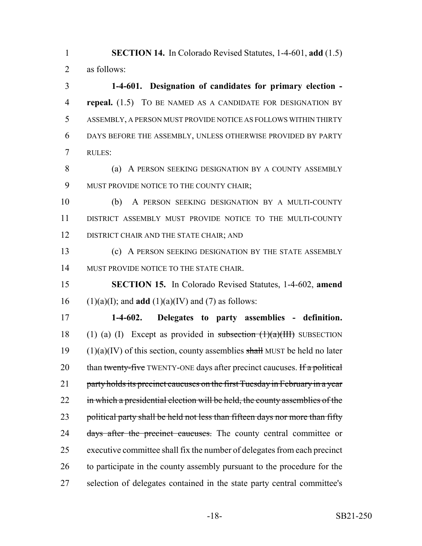1 **SECTION 14.** In Colorado Revised Statutes, 1-4-601, **add** (1.5) 2 as follows:

 **1-4-601. Designation of candidates for primary election - repeal.** (1.5) TO BE NAMED AS A CANDIDATE FOR DESIGNATION BY ASSEMBLY, A PERSON MUST PROVIDE NOTICE AS FOLLOWS WITHIN THIRTY DAYS BEFORE THE ASSEMBLY, UNLESS OTHERWISE PROVIDED BY PARTY 7 RULES:

8 (a) A PERSON SEEKING DESIGNATION BY A COUNTY ASSEMBLY 9 MUST PROVIDE NOTICE TO THE COUNTY CHAIR;

10 (b) A PERSON SEEKING DESIGNATION BY A MULTI-COUNTY 11 DISTRICT ASSEMBLY MUST PROVIDE NOTICE TO THE MULTI-COUNTY 12 DISTRICT CHAIR AND THE STATE CHAIR; AND

13 (c) A PERSON SEEKING DESIGNATION BY THE STATE ASSEMBLY 14 MUST PROVIDE NOTICE TO THE STATE CHAIR.

15 **SECTION 15.** In Colorado Revised Statutes, 1-4-602, **amend** 16 (1)(a)(I); and **add** (1)(a)(IV) and (7) as follows:

17 **1-4-602. Delegates to party assemblies - definition.** 18 (1) (a) (I) Except as provided in subsection  $(1)(a)(III)$  SUBSECTION 19 (1)(a)(IV) of this section, county assemblies shall MUST be held no later 20 than twenty-five TWENTY-ONE days after precinct caucuses. If a political 21 party holds its precinct caucuses on the first Tuesday in February in a year 22 in which a presidential election will be held, the county assemblies of the 23 political party shall be held not less than fifteen days nor more than fifty 24 days after the precinct caucuses. The county central committee or 25 executive committee shall fix the number of delegates from each precinct 26 to participate in the county assembly pursuant to the procedure for the 27 selection of delegates contained in the state party central committee's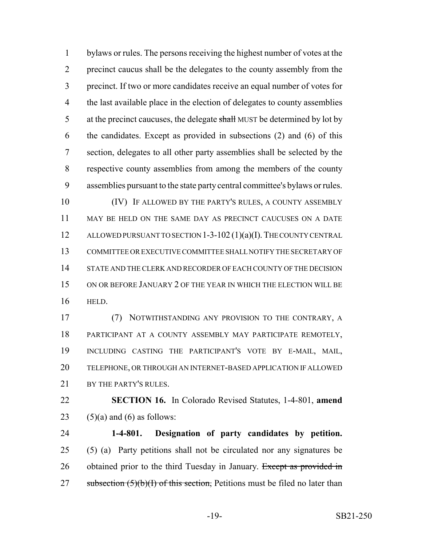bylaws or rules. The persons receiving the highest number of votes at the precinct caucus shall be the delegates to the county assembly from the precinct. If two or more candidates receive an equal number of votes for 4 the last available place in the election of delegates to county assemblies 5 at the precinct caucuses, the delegate shall MUST be determined by lot by the candidates. Except as provided in subsections (2) and (6) of this section, delegates to all other party assemblies shall be selected by the respective county assemblies from among the members of the county assemblies pursuant to the state party central committee's bylaws or rules. (IV) IF ALLOWED BY THE PARTY'S RULES, A COUNTY ASSEMBLY

 MAY BE HELD ON THE SAME DAY AS PRECINCT CAUCUSES ON A DATE 12 ALLOWED PURSUANT TO SECTION 1-3-102 (1)(a)(I). THE COUNTY CENTRAL COMMITTEE OR EXECUTIVE COMMITTEE SHALL NOTIFY THE SECRETARY OF STATE AND THE CLERK AND RECORDER OF EACH COUNTY OF THE DECISION ON OR BEFORE JANUARY 2 OF THE YEAR IN WHICH THE ELECTION WILL BE HELD.

 (7) NOTWITHSTANDING ANY PROVISION TO THE CONTRARY, A PARTICIPANT AT A COUNTY ASSEMBLY MAY PARTICIPATE REMOTELY, INCLUDING CASTING THE PARTICIPANT'S VOTE BY E-MAIL, MAIL, TELEPHONE, OR THROUGH AN INTERNET-BASED APPLICATION IF ALLOWED 21 BY THE PARTY'S RULES.

 **SECTION 16.** In Colorado Revised Statutes, 1-4-801, **amend** 23 (5)(a) and (6) as follows:

 **1-4-801. Designation of party candidates by petition.** (5) (a) Party petitions shall not be circulated nor any signatures be 26 obtained prior to the third Tuesday in January. Except as provided in 27 subsection  $(5)(b)(I)$  of this section, Petitions must be filed no later than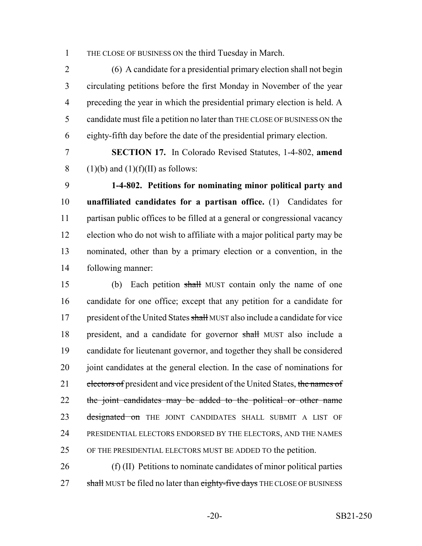THE CLOSE OF BUSINESS ON the third Tuesday in March.

 (6) A candidate for a presidential primary election shall not begin circulating petitions before the first Monday in November of the year preceding the year in which the presidential primary election is held. A candidate must file a petition no later than THE CLOSE OF BUSINESS ON the eighty-fifth day before the date of the presidential primary election.

 **SECTION 17.** In Colorado Revised Statutes, 1-4-802, **amend** 8 (1)(b) and (1)(f)(II) as follows:

 **1-4-802. Petitions for nominating minor political party and unaffiliated candidates for a partisan office.** (1) Candidates for partisan public offices to be filled at a general or congressional vacancy election who do not wish to affiliate with a major political party may be nominated, other than by a primary election or a convention, in the following manner:

 (b) Each petition shall MUST contain only the name of one candidate for one office; except that any petition for a candidate for 17 president of the United States shall MUST also include a candidate for vice president, and a candidate for governor shall MUST also include a candidate for lieutenant governor, and together they shall be considered 20 joint candidates at the general election. In the case of nominations for 21 electors of president and vice president of the United States, the names of 22 the joint candidates may be added to the political or other name 23 designated on THE JOINT CANDIDATES SHALL SUBMIT A LIST OF PRESIDENTIAL ELECTORS ENDORSED BY THE ELECTORS, AND THE NAMES OF THE PRESIDENTIAL ELECTORS MUST BE ADDED TO the petition.

 (f) (II) Petitions to nominate candidates of minor political parties 27 shall MUST be filed no later than eighty-five days THE CLOSE OF BUSINESS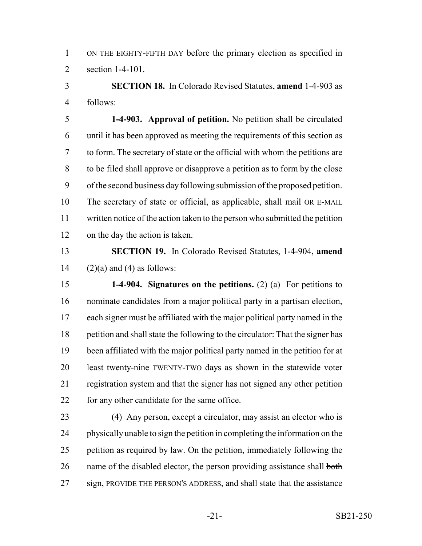ON THE EIGHTY-FIFTH DAY before the primary election as specified in section 1-4-101.

 **SECTION 18.** In Colorado Revised Statutes, **amend** 1-4-903 as follows:

 **1-4-903. Approval of petition.** No petition shall be circulated until it has been approved as meeting the requirements of this section as to form. The secretary of state or the official with whom the petitions are to be filed shall approve or disapprove a petition as to form by the close of the second business day following submission of the proposed petition. The secretary of state or official, as applicable, shall mail OR E-MAIL written notice of the action taken to the person who submitted the petition on the day the action is taken.

 **SECTION 19.** In Colorado Revised Statutes, 1-4-904, **amend** 14  $(2)(a)$  and (4) as follows:

 **1-4-904. Signatures on the petitions.** (2) (a) For petitions to nominate candidates from a major political party in a partisan election, each signer must be affiliated with the major political party named in the petition and shall state the following to the circulator: That the signer has been affiliated with the major political party named in the petition for at 20 least twenty-nine TWENTY-TWO days as shown in the statewide voter registration system and that the signer has not signed any other petition 22 for any other candidate for the same office.

 (4) Any person, except a circulator, may assist an elector who is physically unable to sign the petition in completing the information on the petition as required by law. On the petition, immediately following the 26 name of the disabled elector, the person providing assistance shall both 27 sign, PROVIDE THE PERSON'S ADDRESS, and shall state that the assistance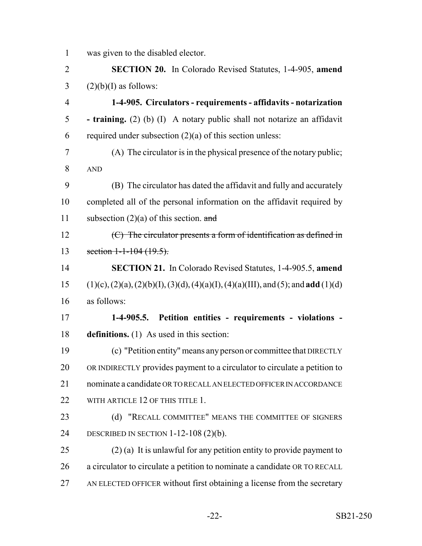was given to the disabled elector.

 **SECTION 20.** In Colorado Revised Statutes, 1-4-905, **amend**  $3 \qquad (2)(b)(I)$  as follows: **1-4-905. Circulators - requirements - affidavits - notarization - training.** (2) (b) (I) A notary public shall not notarize an affidavit 6 required under subsection  $(2)(a)$  of this section unless: (A) The circulator is in the physical presence of the notary public; AND (B) The circulator has dated the affidavit and fully and accurately completed all of the personal information on the affidavit required by 11 subsection  $(2)(a)$  of this section. and  $12 \t\t (C)$  The circulator presents a form of identification as defined in 13 section 1-1-104 (19.5). **SECTION 21.** In Colorado Revised Statutes, 1-4-905.5, **amend**

 (1)(c), (2)(a), (2)(b)(I), (3)(d), (4)(a)(I), (4)(a)(III), and (5); and **add** (1)(d) as follows:

 **1-4-905.5. Petition entities - requirements - violations - definitions.** (1) As used in this section:

 (c) "Petition entity" means any person or committee that DIRECTLY OR INDIRECTLY provides payment to a circulator to circulate a petition to 21 nominate a candidate OR TO RECALL AN ELECTED OFFICER IN ACCORDANCE 22 WITH ARTICLE 12 OF THIS TITLE 1.

23 (d) "RECALL COMMITTEE" MEANS THE COMMITTEE OF SIGNERS DESCRIBED IN SECTION 1-12-108 (2)(b).

25 (2) (a) It is unlawful for any petition entity to provide payment to a circulator to circulate a petition to nominate a candidate OR TO RECALL AN ELECTED OFFICER without first obtaining a license from the secretary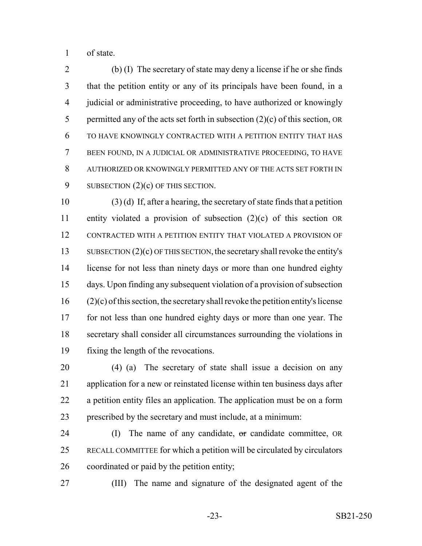of state.

 (b) (I) The secretary of state may deny a license if he or she finds that the petition entity or any of its principals have been found, in a judicial or administrative proceeding, to have authorized or knowingly 5 permitted any of the acts set forth in subsection  $(2)(c)$  of this section, OR TO HAVE KNOWINGLY CONTRACTED WITH A PETITION ENTITY THAT HAS BEEN FOUND, IN A JUDICIAL OR ADMINISTRATIVE PROCEEDING, TO HAVE AUTHORIZED OR KNOWINGLY PERMITTED ANY OF THE ACTS SET FORTH IN 9 SUBSECTION  $(2)(c)$  OF THIS SECTION.

 (3) (d) If, after a hearing, the secretary of state finds that a petition entity violated a provision of subsection (2)(c) of this section OR CONTRACTED WITH A PETITION ENTITY THAT VIOLATED A PROVISION OF 13 SUBSECTION  $(2)(c)$  OF THIS SECTION, the secretary shall revoke the entity's license for not less than ninety days or more than one hundred eighty days. Upon finding any subsequent violation of a provision of subsection (2)(c) of this section, the secretary shall revoke the petition entity's license 17 for not less than one hundred eighty days or more than one year. The secretary shall consider all circumstances surrounding the violations in fixing the length of the revocations.

 (4) (a) The secretary of state shall issue a decision on any application for a new or reinstated license within ten business days after a petition entity files an application. The application must be on a form prescribed by the secretary and must include, at a minimum:

 (I) The name of any candidate, or candidate committee, OR RECALL COMMITTEE for which a petition will be circulated by circulators coordinated or paid by the petition entity;

(III) The name and signature of the designated agent of the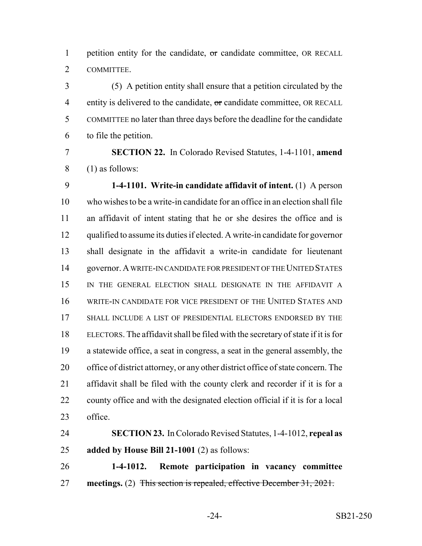1 petition entity for the candidate, or candidate committee, OR RECALL COMMITTEE.

 (5) A petition entity shall ensure that a petition circulated by the 4 entity is delivered to the candidate,  $\sigma$ r candidate committee, OR RECALL COMMITTEE no later than three days before the deadline for the candidate to file the petition.

 **SECTION 22.** In Colorado Revised Statutes, 1-4-1101, **amend** (1) as follows:

 **1-4-1101. Write-in candidate affidavit of intent.** (1) A person who wishes to be a write-in candidate for an office in an election shall file an affidavit of intent stating that he or she desires the office and is qualified to assume its duties if elected. A write-in candidate for governor shall designate in the affidavit a write-in candidate for lieutenant governor. A WRITE-IN CANDIDATE FOR PRESIDENT OF THE UNITED STATES IN THE GENERAL ELECTION SHALL DESIGNATE IN THE AFFIDAVIT A WRITE-IN CANDIDATE FOR VICE PRESIDENT OF THE UNITED STATES AND SHALL INCLUDE A LIST OF PRESIDENTIAL ELECTORS ENDORSED BY THE ELECTORS. The affidavit shall be filed with the secretary of state if it is for a statewide office, a seat in congress, a seat in the general assembly, the office of district attorney, or any other district office of state concern. The affidavit shall be filed with the county clerk and recorder if it is for a county office and with the designated election official if it is for a local office.

 **SECTION 23.** In Colorado Revised Statutes, 1-4-1012, **repeal as added by House Bill 21-1001** (2) as follows:

 **1-4-1012. Remote participation in vacancy committee meetings.** (2) This section is repealed, effective December 31, 2021.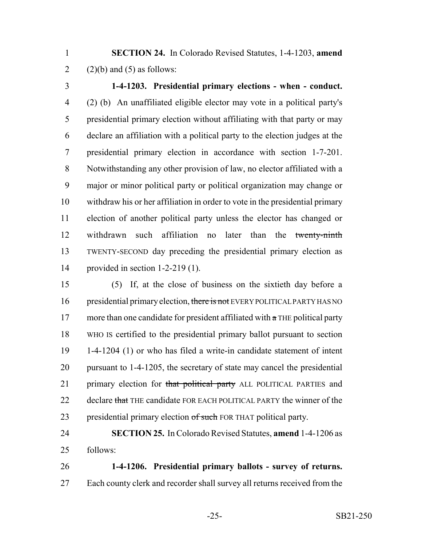**SECTION 24.** In Colorado Revised Statutes, 1-4-1203, **amend** 2 (2)(b) and (5) as follows:

 **1-4-1203. Presidential primary elections - when - conduct.** (2) (b) An unaffiliated eligible elector may vote in a political party's presidential primary election without affiliating with that party or may declare an affiliation with a political party to the election judges at the presidential primary election in accordance with section 1-7-201. Notwithstanding any other provision of law, no elector affiliated with a major or minor political party or political organization may change or withdraw his or her affiliation in order to vote in the presidential primary election of another political party unless the elector has changed or 12 withdrawn such affiliation no later than the twenty-ninth TWENTY-SECOND day preceding the presidential primary election as provided in section 1-2-219 (1).

 (5) If, at the close of business on the sixtieth day before a 16 presidential primary election, there is not EVERY POLITICAL PARTY HAS NO 17 more than one candidate for president affiliated with  $\alpha$  THE political party WHO IS certified to the presidential primary ballot pursuant to section 1-4-1204 (1) or who has filed a write-in candidate statement of intent pursuant to 1-4-1205, the secretary of state may cancel the presidential 21 primary election for that political party ALL POLITICAL PARTIES and 22 declare that THE candidate FOR EACH POLITICAL PARTY the winner of the 23 presidential primary election of such FOR THAT political party.

# **SECTION 25.** In Colorado Revised Statutes, **amend** 1-4-1206 as follows:

 **1-4-1206. Presidential primary ballots - survey of returns.** 27 Each county clerk and recorder shall survey all returns received from the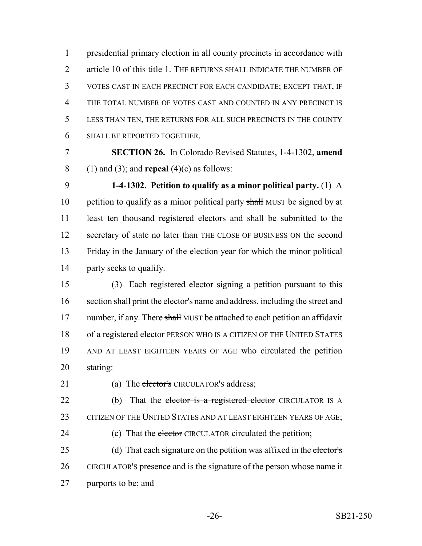presidential primary election in all county precincts in accordance with 2 article 10 of this title 1. THE RETURNS SHALL INDICATE THE NUMBER OF VOTES CAST IN EACH PRECINCT FOR EACH CANDIDATE; EXCEPT THAT, IF THE TOTAL NUMBER OF VOTES CAST AND COUNTED IN ANY PRECINCT IS LESS THAN TEN, THE RETURNS FOR ALL SUCH PRECINCTS IN THE COUNTY SHALL BE REPORTED TOGETHER.

 **SECTION 26.** In Colorado Revised Statutes, 1-4-1302, **amend** (1) and (3); and **repeal** (4)(c) as follows:

 **1-4-1302. Petition to qualify as a minor political party.** (1) A 10 petition to qualify as a minor political party shall MUST be signed by at least ten thousand registered electors and shall be submitted to the secretary of state no later than THE CLOSE OF BUSINESS ON the second Friday in the January of the election year for which the minor political party seeks to qualify.

 (3) Each registered elector signing a petition pursuant to this section shall print the elector's name and address, including the street and 17 number, if any. There shall MUST be attached to each petition an affidavit 18 of a registered elector PERSON WHO IS A CITIZEN OF THE UNITED STATES AND AT LEAST EIGHTEEN YEARS OF AGE who circulated the petition stating:

21 (a) The elector's CIRCULATOR'S address;

22 (b) That the elector is a registered elector CIRCULATOR IS A 23 CITIZEN OF THE UNITED STATES AND AT LEAST EIGHTEEN YEARS OF AGE; 24 (c) That the elector CIRCULATOR circulated the petition;

25 (d) That each signature on the petition was affixed in the elector's CIRCULATOR'S presence and is the signature of the person whose name it purports to be; and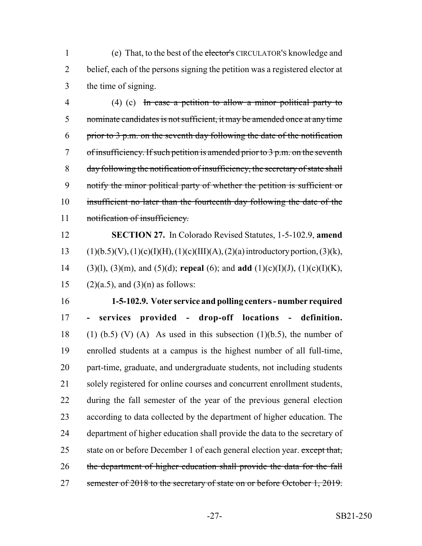1 (e) That, to the best of the elector's CIRCULATOR's knowledge and belief, each of the persons signing the petition was a registered elector at the time of signing.

 (4) (c) In case a petition to allow a minor political party to nominate candidates is not sufficient, it may be amended once at any time 6 prior to p.m. on the seventh day following the date of the notification of insufficiency. If such petition is amended prior to  $3$  p.m. on the seventh day following the notification of insufficiency, the secretary of state shall notify the minor political party of whether the petition is sufficient or 10 insufficient no later than the fourteenth day following the date of the 11 notification of insufficiency.

 **SECTION 27.** In Colorado Revised Statutes, 1-5-102.9, **amend** 13 (1)(b.5)(V), (1)(c)(I)(H), (1)(c)(III)(A), (2)(a) introductory portion, (3)(k), (3)(l), (3)(m), and (5)(d); **repeal** (6); and **add** (1)(c)(I)(J), (1)(c)(I)(K), 15 (2)(a.5), and (3)(n) as follows:

 **1-5-102.9. Voter service and polling centers - number required - services provided - drop-off locations - definition.** 18 (1) (b.5) (V) (A) As used in this subsection (1)(b.5), the number of enrolled students at a campus is the highest number of all full-time, part-time, graduate, and undergraduate students, not including students solely registered for online courses and concurrent enrollment students, during the fall semester of the year of the previous general election according to data collected by the department of higher education. The department of higher education shall provide the data to the secretary of 25 state on or before December 1 of each general election year. except that, 26 the department of higher education shall provide the data for the fall 27 semester of 2018 to the secretary of state on or before October 1, 2019.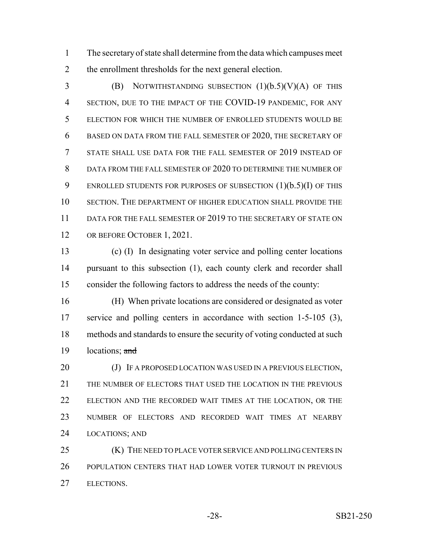The secretary of state shall determine from the data which campuses meet the enrollment thresholds for the next general election.

 (B) NOTWITHSTANDING SUBSECTION (1)(b.5)(V)(A) OF THIS SECTION, DUE TO THE IMPACT OF THE COVID-19 PANDEMIC, FOR ANY ELECTION FOR WHICH THE NUMBER OF ENROLLED STUDENTS WOULD BE BASED ON DATA FROM THE FALL SEMESTER OF 2020, THE SECRETARY OF STATE SHALL USE DATA FOR THE FALL SEMESTER OF 2019 INSTEAD OF 8 DATA FROM THE FALL SEMESTER OF 2020 TO DETERMINE THE NUMBER OF 9 ENROLLED STUDENTS FOR PURPOSES OF SUBSECTION (1)(b.5)(I) OF THIS SECTION. THE DEPARTMENT OF HIGHER EDUCATION SHALL PROVIDE THE 11 DATA FOR THE FALL SEMESTER OF 2019 TO THE SECRETARY OF STATE ON 12 OR BEFORE OCTOBER 1, 2021.

 (c) (I) In designating voter service and polling center locations 14 pursuant to this subsection (1), each county clerk and recorder shall consider the following factors to address the needs of the county:

 (H) When private locations are considered or designated as voter service and polling centers in accordance with section 1-5-105 (3), methods and standards to ensure the security of voting conducted at such  $locations:$  and

20 (J) IF A PROPOSED LOCATION WAS USED IN A PREVIOUS ELECTION, THE NUMBER OF ELECTORS THAT USED THE LOCATION IN THE PREVIOUS ELECTION AND THE RECORDED WAIT TIMES AT THE LOCATION, OR THE NUMBER OF ELECTORS AND RECORDED WAIT TIMES AT NEARBY LOCATIONS; AND

**(K)** THE NEED TO PLACE VOTER SERVICE AND POLLING CENTERS IN POPULATION CENTERS THAT HAD LOWER VOTER TURNOUT IN PREVIOUS ELECTIONS.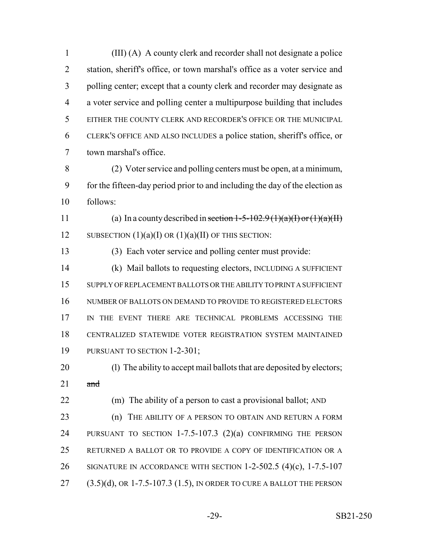(III) (A) A county clerk and recorder shall not designate a police 2 station, sheriff's office, or town marshal's office as a voter service and polling center; except that a county clerk and recorder may designate as a voter service and polling center a multipurpose building that includes EITHER THE COUNTY CLERK AND RECORDER'S OFFICE OR THE MUNICIPAL CLERK'S OFFICE AND ALSO INCLUDES a police station, sheriff's office, or town marshal's office. (2) Voter service and polling centers must be open, at a minimum, for the fifteen-day period prior to and including the day of the election as follows: 11 (a) In a county described in section  $1-5-102.9$  (1)(a)(I) or (1)(a)(II) 12 SUBSECTION  $(1)(a)(I)$  OR  $(1)(a)(II)$  OF THIS SECTION: (3) Each voter service and polling center must provide: (k) Mail ballots to requesting electors, INCLUDING A SUFFICIENT SUPPLY OF REPLACEMENT BALLOTS OR THE ABILITY TO PRINT A SUFFICIENT NUMBER OF BALLOTS ON DEMAND TO PROVIDE TO REGISTERED ELECTORS 17 IN THE EVENT THERE ARE TECHNICAL PROBLEMS ACCESSING THE CENTRALIZED STATEWIDE VOTER REGISTRATION SYSTEM MAINTAINED 19 PURSUANT TO SECTION 1-2-301; (l) The ability to accept mail ballots that are deposited by electors; and (m) The ability of a person to cast a provisional ballot; AND **(n)** THE ABILITY OF A PERSON TO OBTAIN AND RETURN A FORM PURSUANT TO SECTION 1-7.5-107.3 (2)(a) CONFIRMING THE PERSON

RETURNED A BALLOT OR TO PROVIDE A COPY OF IDENTIFICATION OR A

SIGNATURE IN ACCORDANCE WITH SECTION 1-2-502.5 (4)(c), 1-7.5-107

27 (3.5)(d), OR 1-7.5-107.3 (1.5), IN ORDER TO CURE A BALLOT THE PERSON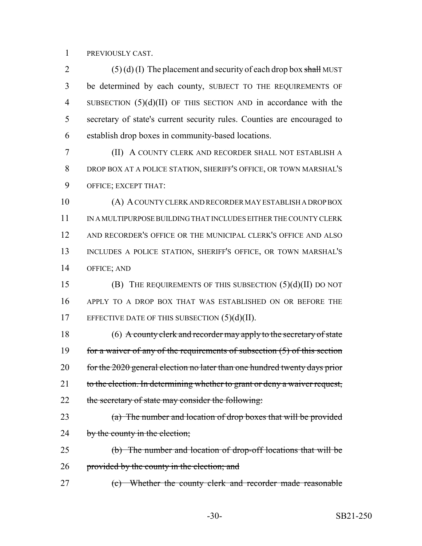PREVIOUSLY CAST.

2 (5) (d) (I) The placement and security of each drop box shall MUST be determined by each county, SUBJECT TO THE REQUIREMENTS OF SUBSECTION (5)(d)(II) OF THIS SECTION AND in accordance with the secretary of state's current security rules. Counties are encouraged to establish drop boxes in community-based locations.

 (II) A COUNTY CLERK AND RECORDER SHALL NOT ESTABLISH A DROP BOX AT A POLICE STATION, SHERIFF'S OFFICE, OR TOWN MARSHAL'S OFFICE; EXCEPT THAT:

 (A) A COUNTY CLERK AND RECORDER MAY ESTABLISH A DROP BOX 11 IN A MULTIPURPOSE BUILDING THAT INCLUDES EITHER THE COUNTY CLERK AND RECORDER'S OFFICE OR THE MUNICIPAL CLERK'S OFFICE AND ALSO INCLUDES A POLICE STATION, SHERIFF'S OFFICE, OR TOWN MARSHAL'S OFFICE; AND

 (B) THE REQUIREMENTS OF THIS SUBSECTION (5)(d)(II) DO NOT APPLY TO A DROP BOX THAT WAS ESTABLISHED ON OR BEFORE THE 17 EFFECTIVE DATE OF THIS SUBSECTION (5)(d)(II).

 (6) A county clerk and recorder may apply to the secretary of state 19 for a waiver of any of the requirements of subsection (5) of this section 20 for the 2020 general election no later than one hundred twenty days prior 21 to the election. In determining whether to grant or deny a waiver request, 22 the secretary of state may consider the following:

23 (a) The number and location of drop boxes that will be provided 24 by the county in the election;

 (b) The number and location of drop-off locations that will be 26 provided by the county in the election; and

(c) Whether the county clerk and recorder made reasonable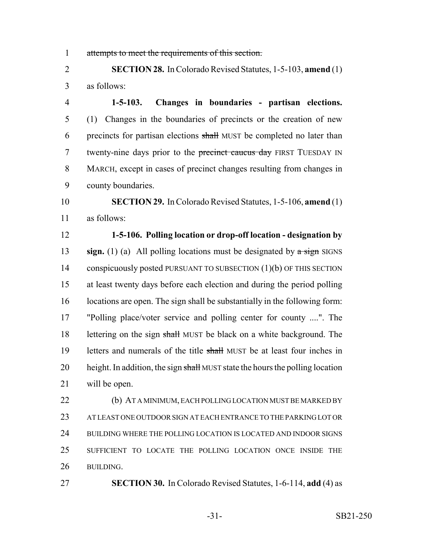attempts to meet the requirements of this section.

 **SECTION 28.** In Colorado Revised Statutes, 1-5-103, **amend** (1) as follows:

 **1-5-103. Changes in boundaries - partisan elections.** (1) Changes in the boundaries of precincts or the creation of new 6 precincts for partisan elections shall MUST be completed no later than 7 twenty-nine days prior to the precinct caucus day FIRST TUESDAY IN MARCH, except in cases of precinct changes resulting from changes in county boundaries.

 **SECTION 29.** In Colorado Revised Statutes, 1-5-106, **amend** (1) as follows:

 **1-5-106. Polling location or drop-off location - designation by sign.** (1) (a) All polling locations must be designated by a sign SIGNS 14 conspicuously posted PURSUANT TO SUBSECTION (1)(b) OF THIS SECTION at least twenty days before each election and during the period polling 16 locations are open. The sign shall be substantially in the following form: "Polling place/voter service and polling center for county ....". The 18 lettering on the sign shall MUST be black on a white background. The 19 letters and numerals of the title shall MUST be at least four inches in 20 height. In addition, the sign shall MUST state the hours the polling location will be open.

 (b) AT A MINIMUM, EACH POLLING LOCATION MUST BE MARKED BY AT LEAST ONE OUTDOOR SIGN AT EACH ENTRANCE TO THE PARKING LOT OR BUILDING WHERE THE POLLING LOCATION IS LOCATED AND INDOOR SIGNS SUFFICIENT TO LOCATE THE POLLING LOCATION ONCE INSIDE THE BUILDING.

**SECTION 30.** In Colorado Revised Statutes, 1-6-114, **add** (4) as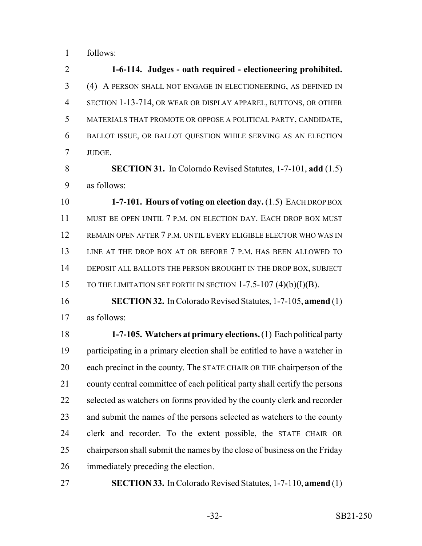follows:

 **1-6-114. Judges - oath required - electioneering prohibited.** (4) A PERSON SHALL NOT ENGAGE IN ELECTIONEERING, AS DEFINED IN SECTION 1-13-714, OR WEAR OR DISPLAY APPAREL, BUTTONS, OR OTHER MATERIALS THAT PROMOTE OR OPPOSE A POLITICAL PARTY, CANDIDATE, BALLOT ISSUE, OR BALLOT QUESTION WHILE SERVING AS AN ELECTION JUDGE.

 **SECTION 31.** In Colorado Revised Statutes, 1-7-101, **add** (1.5) as follows:

 **1-7-101. Hours of voting on election day.** (1.5) EACH DROP BOX MUST BE OPEN UNTIL 7 P.M. ON ELECTION DAY. EACH DROP BOX MUST REMAIN OPEN AFTER 7 P.M. UNTIL EVERY ELIGIBLE ELECTOR WHO WAS IN LINE AT THE DROP BOX AT OR BEFORE 7 P.M. HAS BEEN ALLOWED TO DEPOSIT ALL BALLOTS THE PERSON BROUGHT IN THE DROP BOX, SUBJECT 15 TO THE LIMITATION SET FORTH IN SECTION 1-7.5-107 (4)(b)(I)(B).

 **SECTION 32.** In Colorado Revised Statutes, 1-7-105, **amend** (1) as follows:

 **1-7-105. Watchers at primary elections.** (1) Each political party participating in a primary election shall be entitled to have a watcher in each precinct in the county. The STATE CHAIR OR THE chairperson of the county central committee of each political party shall certify the persons 22 selected as watchers on forms provided by the county clerk and recorder 23 and submit the names of the persons selected as watchers to the county clerk and recorder. To the extent possible, the STATE CHAIR OR chairperson shall submit the names by the close of business on the Friday immediately preceding the election.

**SECTION 33.** In Colorado Revised Statutes, 1-7-110, **amend** (1)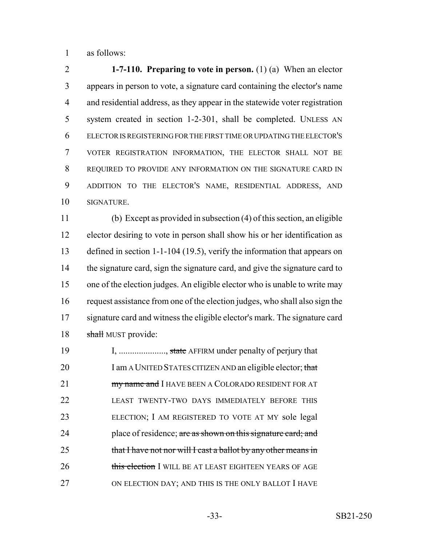as follows:

 **1-7-110. Preparing to vote in person.** (1) (a) When an elector appears in person to vote, a signature card containing the elector's name and residential address, as they appear in the statewide voter registration system created in section 1-2-301, shall be completed. UNLESS AN ELECTOR IS REGISTERING FOR THE FIRST TIME OR UPDATING THE ELECTOR'S VOTER REGISTRATION INFORMATION, THE ELECTOR SHALL NOT BE REQUIRED TO PROVIDE ANY INFORMATION ON THE SIGNATURE CARD IN ADDITION TO THE ELECTOR'S NAME, RESIDENTIAL ADDRESS, AND SIGNATURE.

 (b) Except as provided in subsection (4) of this section, an eligible elector desiring to vote in person shall show his or her identification as defined in section 1-1-104 (19.5), verify the information that appears on the signature card, sign the signature card, and give the signature card to one of the election judges. An eligible elector who is unable to write may request assistance from one of the election judges, who shall also sign the signature card and witness the eligible elector's mark. The signature card 18 shall MUST provide:

19 I, ...................., state AFFIRM under penalty of perjury that 20 I am A UNITED STATES CITIZEN AND an eligible elector; that **my name and I** HAVE BEEN A COLORADO RESIDENT FOR AT LEAST TWENTY-TWO DAYS IMMEDIATELY BEFORE THIS ELECTION; I AM REGISTERED TO VOTE AT MY sole legal 24 place of residence; are as shown on this signature card; and 25 that I have not nor will I cast a ballot by any other means in 26 this election I WILL BE AT LEAST EIGHTEEN YEARS OF AGE 27 ON ELECTION DAY; AND THIS IS THE ONLY BALLOT I HAVE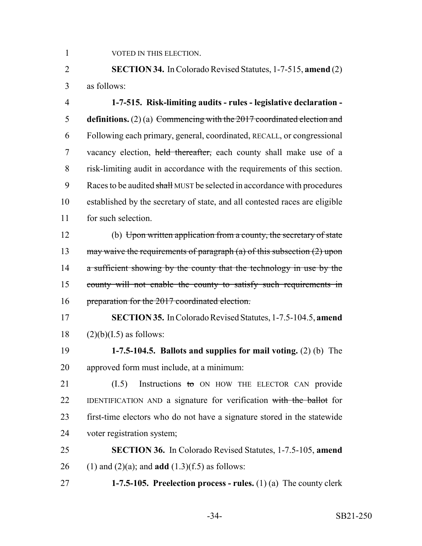1 VOTED IN THIS ELECTION.

 **SECTION 34.** In Colorado Revised Statutes, 1-7-515, **amend** (2) as follows:

 **1-7-515. Risk-limiting audits - rules - legislative declaration - definitions.** (2) (a) Commencing with the 2017 coordinated election and Following each primary, general, coordinated, RECALL, or congressional 7 vacancy election, held thereafter, each county shall make use of a risk-limiting audit in accordance with the requirements of this section. 9 Races to be audited shall MUST be selected in accordance with procedures established by the secretary of state, and all contested races are eligible for such selection.

 (b) Upon written application from a county, the secretary of state 13 may waive the requirements of paragraph (a) of this subsection (2) upon 14 a sufficient showing by the county that the technology in use by the 15 county will not enable the county to satisfy such requirements in 16 preparation for the 2017 coordinated election.

 **SECTION 35.** In Colorado Revised Statutes, 1-7.5-104.5, **amend** (2)(b)(I.5) as follows:

 **1-7.5-104.5. Ballots and supplies for mail voting.** (2) (b) The approved form must include, at a minimum:

21 (I.5) Instructions to ON HOW THE ELECTOR CAN provide 22 IDENTIFICATION AND a signature for verification with the ballot for first-time electors who do not have a signature stored in the statewide voter registration system;

 **SECTION 36.** In Colorado Revised Statutes, 1-7.5-105, **amend** (1) and (2)(a); and **add** (1.3)(f.5) as follows:

**1-7.5-105. Preelection process - rules.** (1) (a) The county clerk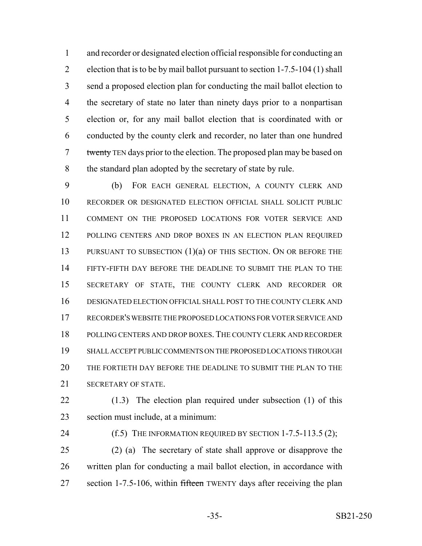and recorder or designated election official responsible for conducting an election that is to be by mail ballot pursuant to section 1-7.5-104 (1) shall send a proposed election plan for conducting the mail ballot election to the secretary of state no later than ninety days prior to a nonpartisan election or, for any mail ballot election that is coordinated with or conducted by the county clerk and recorder, no later than one hundred 7 twenty TEN days prior to the election. The proposed plan may be based on 8 the standard plan adopted by the secretary of state by rule.

 (b) FOR EACH GENERAL ELECTION, A COUNTY CLERK AND RECORDER OR DESIGNATED ELECTION OFFICIAL SHALL SOLICIT PUBLIC COMMENT ON THE PROPOSED LOCATIONS FOR VOTER SERVICE AND 12 POLLING CENTERS AND DROP BOXES IN AN ELECTION PLAN REQUIRED 13 PURSUANT TO SUBSECTION (1)(a) OF THIS SECTION. ON OR BEFORE THE FIFTY-FIFTH DAY BEFORE THE DEADLINE TO SUBMIT THE PLAN TO THE SECRETARY OF STATE, THE COUNTY CLERK AND RECORDER OR DESIGNATED ELECTION OFFICIAL SHALL POST TO THE COUNTY CLERK AND RECORDER'S WEBSITE THE PROPOSED LOCATIONS FOR VOTER SERVICE AND POLLING CENTERS AND DROP BOXES. THE COUNTY CLERK AND RECORDER SHALL ACCEPT PUBLIC COMMENTS ON THE PROPOSED LOCATIONS THROUGH THE FORTIETH DAY BEFORE THE DEADLINE TO SUBMIT THE PLAN TO THE SECRETARY OF STATE.

 (1.3) The election plan required under subsection (1) of this section must include, at a minimum:

**(f.5)** THE INFORMATION REQUIRED BY SECTION 1-7.5-113.5 (2);

 (2) (a) The secretary of state shall approve or disapprove the written plan for conducting a mail ballot election, in accordance with 27 section 1-7.5-106, within fifteen TWENTY days after receiving the plan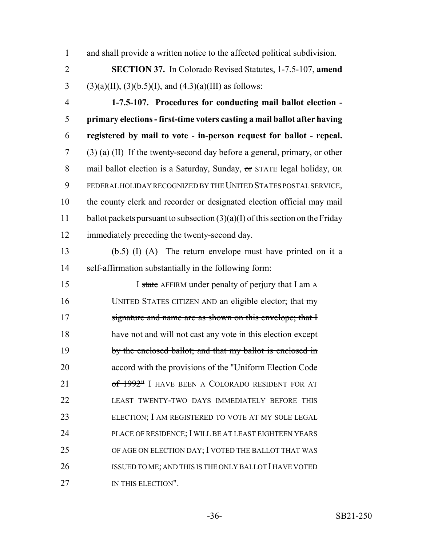1 and shall provide a written notice to the affected political subdivision.

2 **SECTION 37.** In Colorado Revised Statutes, 1-7.5-107, **amend** 3 (3)(a)(II), (3)(b.5)(I), and (4.3)(a)(III) as follows:

 **1-7.5-107. Procedures for conducting mail ballot election - primary elections - first-time voters casting a mail ballot after having registered by mail to vote - in-person request for ballot - repeal.** (3) (a) (II) If the twenty-second day before a general, primary, or other 8 mail ballot election is a Saturday, Sunday, or STATE legal holiday, OR FEDERAL HOLIDAY RECOGNIZED BY THE UNITED STATES POSTAL SERVICE, the county clerk and recorder or designated election official may mail 11 ballot packets pursuant to subsection  $(3)(a)(I)$  of this section on the Friday immediately preceding the twenty-second day.

13 (b.5) (I) (A) The return envelope must have printed on it a 14 self-affirmation substantially in the following form:

15 I state AFFIRM under penalty of perjury that I am A 16 UNITED STATES CITIZEN AND an eligible elector; that my 17 signature and name are as shown on this envelope; that I 18 have not and will not cast any vote in this election except 19 by the enclosed ballot; and that my ballot is enclosed in 20 accord with the provisions of the "Uniform Election Code 21 of 1992" I HAVE BEEN A COLORADO RESIDENT FOR AT 22 LEAST TWENTY-TWO DAYS IMMEDIATELY BEFORE THIS 23 ELECTION; I AM REGISTERED TO VOTE AT MY SOLE LEGAL 24 PLACE OF RESIDENCE; I WILL BE AT LEAST EIGHTEEN YEARS 25 OF AGE ON ELECTION DAY; I VOTED THE BALLOT THAT WAS 26 ISSUED TO ME; AND THIS IS THE ONLY BALLOT I HAVE VOTED 27 IN THIS ELECTION".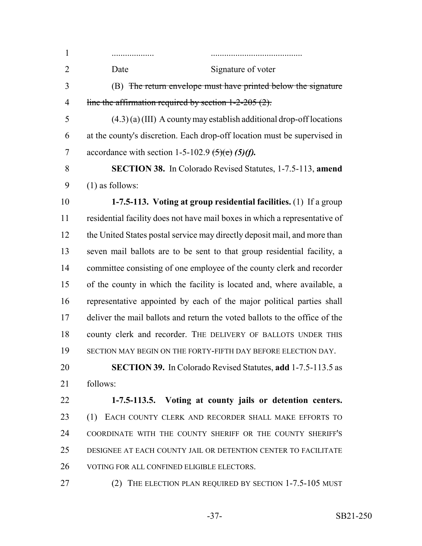................... ......................................... 2 Date Signature of voter (B) The return envelope must have printed below the signature 4 line the affirmation required by section  $1-2-205(2)$ .  $(4.3)$  (a) (III) A county may establish additional drop-off locations at the county's discretion. Each drop-off location must be supervised in 7 accordance with section 1-5-102.9  $\left(5\right)\left(6\right)$  *(5)(f).*  **SECTION 38.** In Colorado Revised Statutes, 1-7.5-113, **amend** (1) as follows: **1-7.5-113. Voting at group residential facilities.** (1) If a group residential facility does not have mail boxes in which a representative of 12 the United States postal service may directly deposit mail, and more than seven mail ballots are to be sent to that group residential facility, a committee consisting of one employee of the county clerk and recorder of the county in which the facility is located and, where available, a representative appointed by each of the major political parties shall deliver the mail ballots and return the voted ballots to the office of the county clerk and recorder. THE DELIVERY OF BALLOTS UNDER THIS 19 SECTION MAY BEGIN ON THE FORTY-FIFTH DAY BEFORE ELECTION DAY. **SECTION 39.** In Colorado Revised Statutes, **add** 1-7.5-113.5 as follows: **1-7.5-113.5. Voting at county jails or detention centers.** (1) EACH COUNTY CLERK AND RECORDER SHALL MAKE EFFORTS TO COORDINATE WITH THE COUNTY SHERIFF OR THE COUNTY SHERIFF'S DESIGNEE AT EACH COUNTY JAIL OR DETENTION CENTER TO FACILITATE VOTING FOR ALL CONFINED ELIGIBLE ELECTORS. (2) THE ELECTION PLAN REQUIRED BY SECTION 1-7.5-105 MUST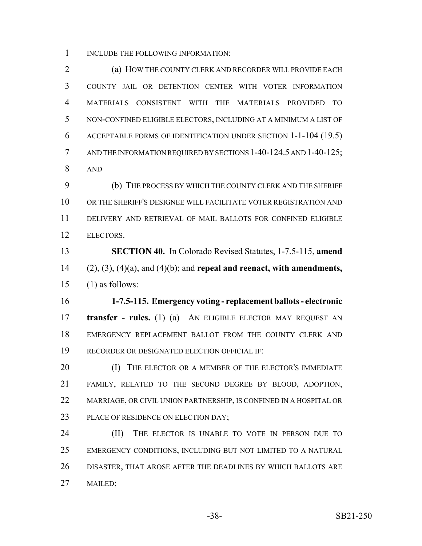INCLUDE THE FOLLOWING INFORMATION:

 (a) HOW THE COUNTY CLERK AND RECORDER WILL PROVIDE EACH COUNTY JAIL OR DETENTION CENTER WITH VOTER INFORMATION MATERIALS CONSISTENT WITH THE MATERIALS PROVIDED TO NON-CONFINED ELIGIBLE ELECTORS, INCLUDING AT A MINIMUM A LIST OF ACCEPTABLE FORMS OF IDENTIFICATION UNDER SECTION 1-1-104 (19.5) 7 AND THE INFORMATION REQUIRED BY SECTIONS 1-40-124.5 AND 1-40-125; AND

 (b) THE PROCESS BY WHICH THE COUNTY CLERK AND THE SHERIFF OR THE SHERIFF'S DESIGNEE WILL FACILITATE VOTER REGISTRATION AND DELIVERY AND RETRIEVAL OF MAIL BALLOTS FOR CONFINED ELIGIBLE ELECTORS.

 **SECTION 40.** In Colorado Revised Statutes, 1-7.5-115, **amend** (2), (3), (4)(a), and (4)(b); and **repeal and reenact, with amendments,** (1) as follows:

 **1-7.5-115. Emergency voting - replacement ballots - electronic transfer - rules.** (1) (a) AN ELIGIBLE ELECTOR MAY REQUEST AN EMERGENCY REPLACEMENT BALLOT FROM THE COUNTY CLERK AND RECORDER OR DESIGNATED ELECTION OFFICIAL IF:

**(I)** THE ELECTOR OR A MEMBER OF THE ELECTOR'S IMMEDIATE FAMILY, RELATED TO THE SECOND DEGREE BY BLOOD, ADOPTION, 22 MARRIAGE, OR CIVIL UNION PARTNERSHIP, IS CONFINED IN A HOSPITAL OR 23 PLACE OF RESIDENCE ON ELECTION DAY;

24 (II) THE ELECTOR IS UNABLE TO VOTE IN PERSON DUE TO EMERGENCY CONDITIONS, INCLUDING BUT NOT LIMITED TO A NATURAL DISASTER, THAT AROSE AFTER THE DEADLINES BY WHICH BALLOTS ARE MAILED;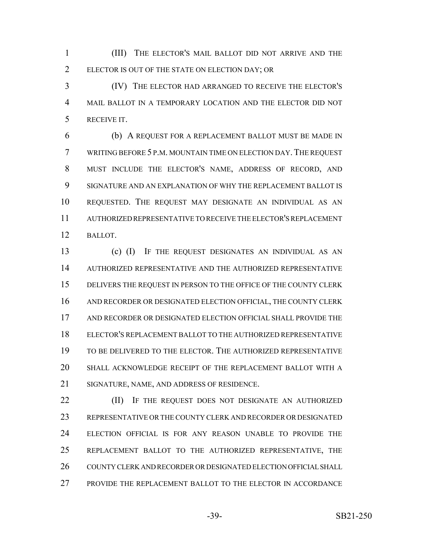(III) THE ELECTOR'S MAIL BALLOT DID NOT ARRIVE AND THE ELECTOR IS OUT OF THE STATE ON ELECTION DAY; OR

 (IV) THE ELECTOR HAD ARRANGED TO RECEIVE THE ELECTOR'S MAIL BALLOT IN A TEMPORARY LOCATION AND THE ELECTOR DID NOT RECEIVE IT.

 (b) A REQUEST FOR A REPLACEMENT BALLOT MUST BE MADE IN WRITING BEFORE 5 P.M. MOUNTAIN TIME ON ELECTION DAY.THE REQUEST MUST INCLUDE THE ELECTOR'S NAME, ADDRESS OF RECORD, AND SIGNATURE AND AN EXPLANATION OF WHY THE REPLACEMENT BALLOT IS REQUESTED. THE REQUEST MAY DESIGNATE AN INDIVIDUAL AS AN AUTHORIZED REPRESENTATIVE TO RECEIVE THE ELECTOR'S REPLACEMENT BALLOT.

 (c) (I) IF THE REQUEST DESIGNATES AN INDIVIDUAL AS AN AUTHORIZED REPRESENTATIVE AND THE AUTHORIZED REPRESENTATIVE 15 DELIVERS THE REQUEST IN PERSON TO THE OFFICE OF THE COUNTY CLERK AND RECORDER OR DESIGNATED ELECTION OFFICIAL, THE COUNTY CLERK AND RECORDER OR DESIGNATED ELECTION OFFICIAL SHALL PROVIDE THE ELECTOR'S REPLACEMENT BALLOT TO THE AUTHORIZED REPRESENTATIVE TO BE DELIVERED TO THE ELECTOR. THE AUTHORIZED REPRESENTATIVE SHALL ACKNOWLEDGE RECEIPT OF THE REPLACEMENT BALLOT WITH A SIGNATURE, NAME, AND ADDRESS OF RESIDENCE.

**(II)** IF THE REQUEST DOES NOT DESIGNATE AN AUTHORIZED REPRESENTATIVE OR THE COUNTY CLERK AND RECORDER OR DESIGNATED ELECTION OFFICIAL IS FOR ANY REASON UNABLE TO PROVIDE THE REPLACEMENT BALLOT TO THE AUTHORIZED REPRESENTATIVE, THE COUNTY CLERK AND RECORDER OR DESIGNATED ELECTION OFFICIAL SHALL PROVIDE THE REPLACEMENT BALLOT TO THE ELECTOR IN ACCORDANCE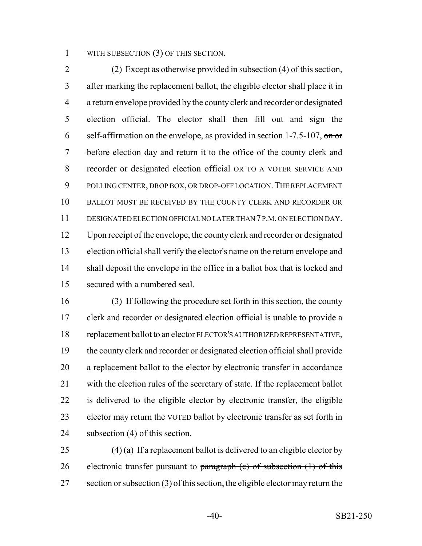1 WITH SUBSECTION (3) OF THIS SECTION.

 (2) Except as otherwise provided in subsection (4) of this section, after marking the replacement ballot, the eligible elector shall place it in a return envelope provided by the county clerk and recorder or designated election official. The elector shall then fill out and sign the 6 self-affirmation on the envelope, as provided in section  $1-7.5-107$ , on or 7 before election day and return it to the office of the county clerk and recorder or designated election official OR TO A VOTER SERVICE AND 9 POLLING CENTER, DROP BOX, OR DROP-OFF LOCATION. THE REPLACEMENT BALLOT MUST BE RECEIVED BY THE COUNTY CLERK AND RECORDER OR DESIGNATED ELECTION OFFICIAL NO LATER THAN 7 P.M. ON ELECTION DAY. Upon receipt of the envelope, the county clerk and recorder or designated election official shall verify the elector's name on the return envelope and shall deposit the envelope in the office in a ballot box that is locked and secured with a numbered seal.

 (3) If following the procedure set forth in this section, the county clerk and recorder or designated election official is unable to provide a 18 replacement ballot to an elector ELECTOR'S AUTHORIZED REPRESENTATIVE, the county clerk and recorder or designated election official shall provide a replacement ballot to the elector by electronic transfer in accordance with the election rules of the secretary of state. If the replacement ballot is delivered to the eligible elector by electronic transfer, the eligible elector may return the VOTED ballot by electronic transfer as set forth in subsection (4) of this section.

 (4) (a) If a replacement ballot is delivered to an eligible elector by 26 electronic transfer pursuant to  $\frac{1}{2}$  paragraph (c) of subsection (1) of this 27 section or subsection (3) of this section, the eligible elector may return the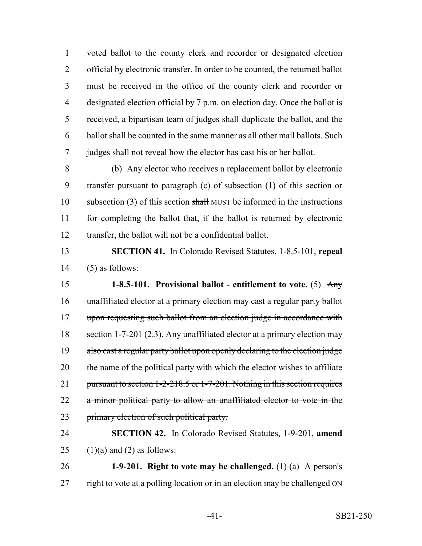voted ballot to the county clerk and recorder or designated election official by electronic transfer. In order to be counted, the returned ballot must be received in the office of the county clerk and recorder or designated election official by 7 p.m. on election day. Once the ballot is received, a bipartisan team of judges shall duplicate the ballot, and the ballot shall be counted in the same manner as all other mail ballots. Such judges shall not reveal how the elector has cast his or her ballot.

8 (b) Any elector who receives a replacement ballot by electronic 9 transfer pursuant to paragraph  $(c)$  of subsection  $(1)$  of this section or 10 subsection (3) of this section  $\frac{1}{2}$  MUST be informed in the instructions 11 for completing the ballot that, if the ballot is returned by electronic 12 transfer, the ballot will not be a confidential ballot.

### 13 **SECTION 41.** In Colorado Revised Statutes, 1-8.5-101, **repeal** 14  $(5)$  as follows:

15 **1-8.5-101. Provisional ballot - entitlement to vote.** (5) Any 16 unaffiliated elector at a primary election may cast a regular party ballot 17 upon requesting such ballot from an election judge in accordance with 18 section 1-7-201 (2.3). Any unaffiliated elector at a primary election may 19 also cast a regular party ballot upon openly declaring to the election judge 20 the name of the political party with which the elector wishes to affiliate 21 pursuant to section 1-2-218.5 or 1-7-201. Nothing in this section requires 22 a minor political party to allow an unaffiliated elector to vote in the 23 primary election of such political party.

# 24 **SECTION 42.** In Colorado Revised Statutes, 1-9-201, **amend** 25 (1)(a) and (2) as follows:

26 **1-9-201. Right to vote may be challenged.** (1) (a) A person's 27 right to vote at a polling location or in an election may be challenged ON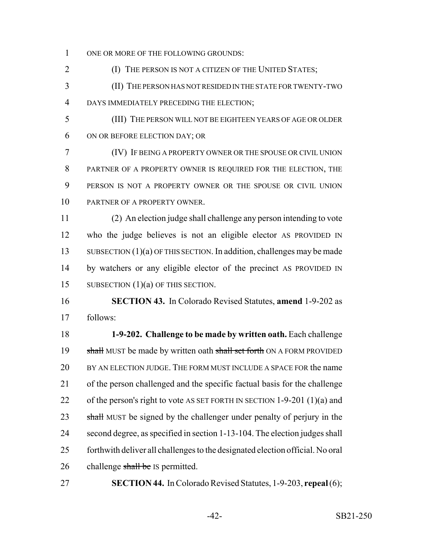1 ONE OR MORE OF THE FOLLOWING GROUNDS:

- **(I) THE PERSON IS NOT A CITIZEN OF THE UNITED STATES;**
- (II) THE PERSON HAS NOT RESIDED IN THE STATE FOR TWENTY-TWO DAYS IMMEDIATELY PRECEDING THE ELECTION;
- (III) THE PERSON WILL NOT BE EIGHTEEN YEARS OF AGE OR OLDER ON OR BEFORE ELECTION DAY; OR

 (IV) IF BEING A PROPERTY OWNER OR THE SPOUSE OR CIVIL UNION PARTNER OF A PROPERTY OWNER IS REQUIRED FOR THE ELECTION, THE PERSON IS NOT A PROPERTY OWNER OR THE SPOUSE OR CIVIL UNION PARTNER OF A PROPERTY OWNER.

 (2) An election judge shall challenge any person intending to vote who the judge believes is not an eligible elector AS PROVIDED IN 13 SUBSECTION (1)(a) OF THIS SECTION. In addition, challenges may be made by watchers or any eligible elector of the precinct AS PROVIDED IN 15 SUBSECTION (1)(a) OF THIS SECTION.

 **SECTION 43.** In Colorado Revised Statutes, **amend** 1-9-202 as follows:

 **1-9-202. Challenge to be made by written oath.** Each challenge 19 shall MUST be made by written oath shall set forth ON A FORM PROVIDED BY AN ELECTION JUDGE. THE FORM MUST INCLUDE A SPACE FOR the name of the person challenged and the specific factual basis for the challenge 22 of the person's right to vote AS SET FORTH IN SECTION 1-9-201 (1)(a) and 23 shall MUST be signed by the challenger under penalty of perjury in the second degree, as specified in section 1-13-104. The election judges shall forthwith deliver all challenges to the designated election official. No oral 26 challenge shall be IS permitted.

**SECTION 44.** In Colorado Revised Statutes, 1-9-203, **repeal** (6);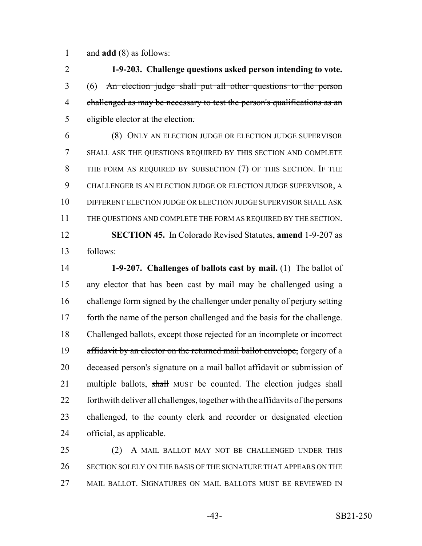and **add** (8) as follows:

 **1-9-203. Challenge questions asked person intending to vote.** (6) An election judge shall put all other questions to the person 4 challenged as may be necessary to test the person's qualifications as an eligible elector at the election.

 (8) ONLY AN ELECTION JUDGE OR ELECTION JUDGE SUPERVISOR SHALL ASK THE QUESTIONS REQUIRED BY THIS SECTION AND COMPLETE THE FORM AS REQUIRED BY SUBSECTION (7) OF THIS SECTION. IF THE CHALLENGER IS AN ELECTION JUDGE OR ELECTION JUDGE SUPERVISOR, A DIFFERENT ELECTION JUDGE OR ELECTION JUDGE SUPERVISOR SHALL ASK THE QUESTIONS AND COMPLETE THE FORM AS REQUIRED BY THE SECTION. **SECTION 45.** In Colorado Revised Statutes, **amend** 1-9-207 as

follows:

 **1-9-207. Challenges of ballots cast by mail.** (1) The ballot of any elector that has been cast by mail may be challenged using a challenge form signed by the challenger under penalty of perjury setting forth the name of the person challenged and the basis for the challenge. 18 Challenged ballots, except those rejected for an incomplete or incorrect 19 affidavit by an elector on the returned mail ballot envelope, forgery of a deceased person's signature on a mail ballot affidavit or submission of 21 multiple ballots, shall MUST be counted. The election judges shall forthwith deliver all challenges, together with the affidavits of the persons challenged, to the county clerk and recorder or designated election official, as applicable.

 (2) A MAIL BALLOT MAY NOT BE CHALLENGED UNDER THIS SECTION SOLELY ON THE BASIS OF THE SIGNATURE THAT APPEARS ON THE MAIL BALLOT. SIGNATURES ON MAIL BALLOTS MUST BE REVIEWED IN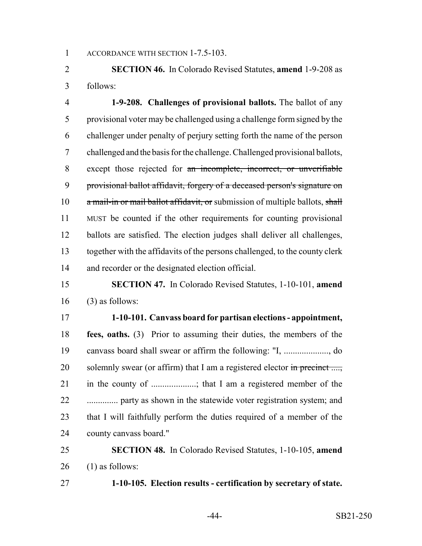1 ACCORDANCE WITH SECTION 1-7.5-103.

 **SECTION 46.** In Colorado Revised Statutes, **amend** 1-9-208 as follows:

 **1-9-208. Challenges of provisional ballots.** The ballot of any provisional voter may be challenged using a challenge form signed by the challenger under penalty of perjury setting forth the name of the person challenged and the basis for the challenge. Challenged provisional ballots, except those rejected for an incomplete, incorrect, or unverifiable provisional ballot affidavit, forgery of a deceased person's signature on  $a$  mail-in or mail ballot affidavit, or submission of multiple ballots, shall MUST be counted if the other requirements for counting provisional ballots are satisfied. The election judges shall deliver all challenges, together with the affidavits of the persons challenged, to the county clerk and recorder or the designated election official.

## **SECTION 47.** In Colorado Revised Statutes, 1-10-101, **amend** (3) as follows:

 **1-10-101. Canvass board for partisan elections - appointment, fees, oaths.** (3) Prior to assuming their duties, the members of the canvass board shall swear or affirm the following: "I, ...................., do 20 solemnly swear (or affirm) that I am a registered elector  $\frac{1}{2}$  in precinct ...., 21 in the county of ...................; that I am a registered member of the .............. party as shown in the statewide voter registration system; and that I will faithfully perform the duties required of a member of the county canvass board."

## **SECTION 48.** In Colorado Revised Statutes, 1-10-105, **amend** (1) as follows:

**1-10-105. Election results - certification by secretary of state.**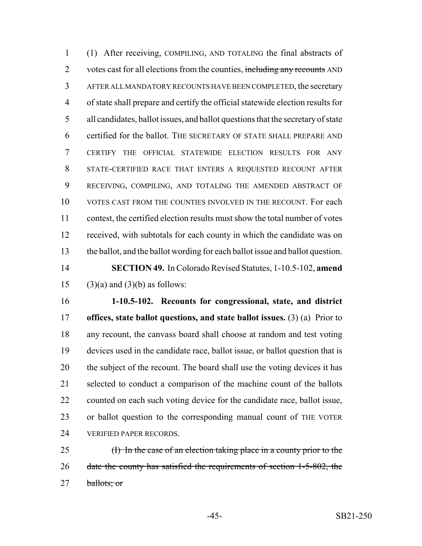(1) After receiving, COMPILING, AND TOTALING the final abstracts of 2 votes cast for all elections from the counties, including any recounts AND AFTER ALL MANDATORY RECOUNTS HAVE BEEN COMPLETED, the secretary of state shall prepare and certify the official statewide election results for all candidates, ballot issues, and ballot questions that the secretary of state certified for the ballot. THE SECRETARY OF STATE SHALL PREPARE AND CERTIFY THE OFFICIAL STATEWIDE ELECTION RESULTS FOR ANY STATE-CERTIFIED RACE THAT ENTERS A REQUESTED RECOUNT AFTER RECEIVING, COMPILING, AND TOTALING THE AMENDED ABSTRACT OF VOTES CAST FROM THE COUNTIES INVOLVED IN THE RECOUNT. For each contest, the certified election results must show the total number of votes received, with subtotals for each county in which the candidate was on the ballot, and the ballot wording for each ballot issue and ballot question. **SECTION 49.** In Colorado Revised Statutes, 1-10.5-102, **amend** 15 (3)(a) and (3)(b) as follows:

 **1-10.5-102. Recounts for congressional, state, and district offices, state ballot questions, and state ballot issues.** (3) (a) Prior to any recount, the canvass board shall choose at random and test voting devices used in the candidate race, ballot issue, or ballot question that is 20 the subject of the recount. The board shall use the voting devices it has selected to conduct a comparison of the machine count of the ballots counted on each such voting device for the candidate race, ballot issue, or ballot question to the corresponding manual count of THE VOTER VERIFIED PAPER RECORDS.

25 (I) In the case of an election taking place in a county prior to the 26 date the county has satisfied the requirements of section 1-5-802, the 27 ballots; or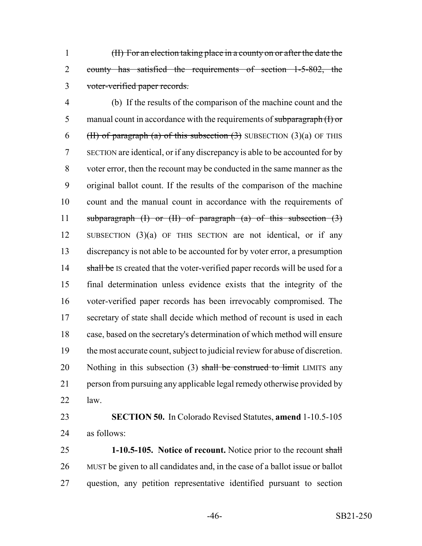(II) For an election taking place in a county on or after the date the 2 county has satisfied the requirements of section 1-5-802, the voter-verified paper records.

 (b) If the results of the comparison of the machine count and the 5 manual count in accordance with the requirements of subparagraph  $(I)$  or 6 (H) of paragraph (a) of this subsection  $(3)$  SUBSECTION  $(3)(a)$  OF THIS SECTION are identical, or if any discrepancy is able to be accounted for by voter error, then the recount may be conducted in the same manner as the original ballot count. If the results of the comparison of the machine count and the manual count in accordance with the requirements of 11 subparagraph  $(I)$  or  $(II)$  of paragraph  $(a)$  of this subsection  $(3)$  SUBSECTION (3)(a) OF THIS SECTION are not identical, or if any discrepancy is not able to be accounted for by voter error, a presumption 14 shall be IS created that the voter-verified paper records will be used for a final determination unless evidence exists that the integrity of the voter-verified paper records has been irrevocably compromised. The secretary of state shall decide which method of recount is used in each case, based on the secretary's determination of which method will ensure the most accurate count, subject to judicial review for abuse of discretion. 20 Nothing in this subsection  $(3)$  shall be construed to limit LIMITS any person from pursuing any applicable legal remedy otherwise provided by law.

 **SECTION 50.** In Colorado Revised Statutes, **amend** 1-10.5-105 as follows:

 **1-10.5-105. Notice of recount.** Notice prior to the recount shall MUST be given to all candidates and, in the case of a ballot issue or ballot question, any petition representative identified pursuant to section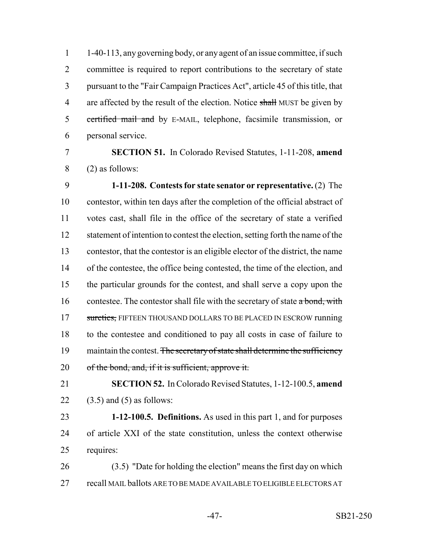1-40-113, any governing body, or any agent of an issue committee, if such committee is required to report contributions to the secretary of state pursuant to the "Fair Campaign Practices Act", article 45 of this title, that 4 are affected by the result of the election. Notice shall MUST be given by 5 certified mail and by E-MAIL, telephone, facsimile transmission, or personal service.

#### **SECTION 51.** In Colorado Revised Statutes, 1-11-208, **amend** (2) as follows:

 **1-11-208. Contests for state senator or representative.** (2) The contestor, within ten days after the completion of the official abstract of votes cast, shall file in the office of the secretary of state a verified 12 statement of intention to contest the election, setting forth the name of the contestor, that the contestor is an eligible elector of the district, the name of the contestee, the office being contested, the time of the election, and the particular grounds for the contest, and shall serve a copy upon the 16 contestee. The contestor shall file with the secretary of state  $a$  bond, with 17 sureties, FIFTEEN THOUSAND DOLLARS TO BE PLACED IN ESCROW running to the contestee and conditioned to pay all costs in case of failure to 19 maintain the contest. The secretary of state shall determine the sufficiency 20 of the bond, and, if it is sufficient, approve it.

 **SECTION 52.** In Colorado Revised Statutes, 1-12-100.5, **amend** 22  $(3.5)$  and  $(5)$  as follows:

 **1-12-100.5. Definitions.** As used in this part 1, and for purposes of article XXI of the state constitution, unless the context otherwise requires:

 (3.5) "Date for holding the election" means the first day on which recall MAIL ballots ARE TO BE MADE AVAILABLE TO ELIGIBLE ELECTORS AT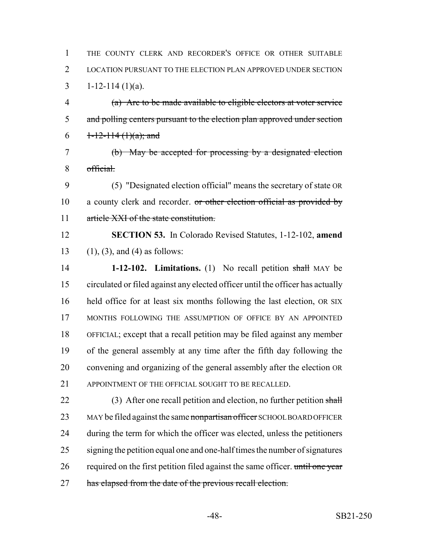THE COUNTY CLERK AND RECORDER'S OFFICE OR OTHER SUITABLE LOCATION PURSUANT TO THE ELECTION PLAN APPROVED UNDER SECTION 3 1-12-114 (1)(a).

 (a) Are to be made available to eligible electors at voter service 5 and polling centers pursuant to the election plan approved under section 6  $1-12-114(1)(a)$ ; and

 (b) May be accepted for processing by a designated election official.

 (5) "Designated election official" means the secretary of state OR 10 a county clerk and recorder. or other election official as provided by article XXI of the state constitution.

 **SECTION 53.** In Colorado Revised Statutes, 1-12-102, **amend** (1), (3), and (4) as follows:

 **1-12-102. Limitations.** (1) No recall petition shall MAY be circulated or filed against any elected officer until the officer has actually held office for at least six months following the last election, OR SIX MONTHS FOLLOWING THE ASSUMPTION OF OFFICE BY AN APPOINTED OFFICIAL; except that a recall petition may be filed against any member of the general assembly at any time after the fifth day following the convening and organizing of the general assembly after the election OR 21 APPOINTMENT OF THE OFFICIAL SOUGHT TO BE RECALLED.

22 (3) After one recall petition and election, no further petition shall 23 MAY be filed against the same nonpartisan officer SCHOOL BOARD OFFICER during the term for which the officer was elected, unless the petitioners signing the petition equal one and one-half times the number of signatures 26 required on the first petition filed against the same officer. until one year 27 has elapsed from the date of the previous recall election.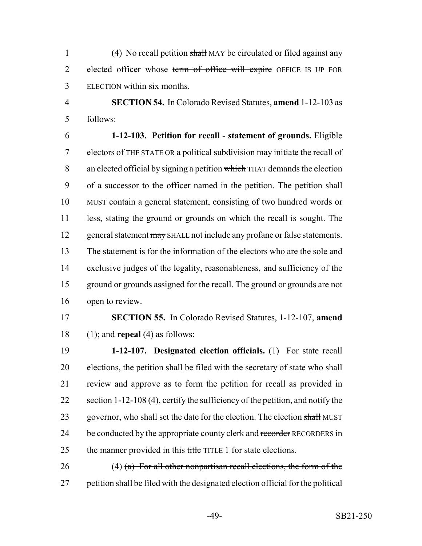1 (4) No recall petition shall MAY be circulated or filed against any 2 elected officer whose term of office will expire OFFICE IS UP FOR 3 ELECTION within six months.

4 **SECTION 54.** In Colorado Revised Statutes, **amend** 1-12-103 as 5 follows:

 **1-12-103. Petition for recall - statement of grounds.** Eligible electors of THE STATE OR a political subdivision may initiate the recall of 8 an elected official by signing a petition which THAT demands the election 9 of a successor to the officer named in the petition. The petition shall MUST contain a general statement, consisting of two hundred words or less, stating the ground or grounds on which the recall is sought. The 12 general statement may SHALL not include any profane or false statements. The statement is for the information of the electors who are the sole and exclusive judges of the legality, reasonableness, and sufficiency of the ground or grounds assigned for the recall. The ground or grounds are not open to review.

17 **SECTION 55.** In Colorado Revised Statutes, 1-12-107, **amend** 18 (1); and **repeal** (4) as follows:

19 **1-12-107. Designated election officials.** (1) For state recall 20 elections, the petition shall be filed with the secretary of state who shall 21 review and approve as to form the petition for recall as provided in 22 section 1-12-108 (4), certify the sufficiency of the petition, and notify the 23 governor, who shall set the date for the election. The election shall MUST 24 be conducted by the appropriate county clerk and recorder RECORDERS in 25 the manner provided in this title TITLE 1 for state elections.

26 (4) (a) For all other nonpartisan recall elections, the form of the 27 petition shall be filed with the designated election official for the political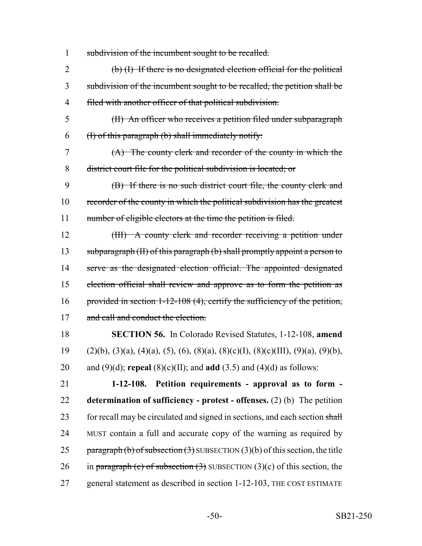1 subdivision of the incumbent sought to be recalled.

2 (b) (I) If there is no designated election official for the political 3 subdivision of the incumbent sought to be recalled, the petition shall be 4 filed with another officer of that political subdivision.

5 (II) An officer who receives a petition filed under subparagraph  $6$  (I) of this paragraph (b) shall immediately notify:

7 (A) The county clerk and recorder of the county in which the 8 district court file for the political subdivision is located; or

9 (B) If there is no such district court file, the county clerk and 10 recorder of the county in which the political subdivision has the greatest 11 number of eligible electors at the time the petition is filed.

12 (III) A county clerk and recorder receiving a petition under 13 subparagraph (II) of this paragraph (b) shall promptly appoint a person to 14 serve as the designated election official. The appointed designated 15 election official shall review and approve as to form the petition as 16 provided in section 1-12-108 (4), certify the sufficiency of the petition, 17 and call and conduct the election.

18 **SECTION 56.** In Colorado Revised Statutes, 1-12-108, **amend** 19 (2)(b), (3)(a), (4)(a), (5), (6), (8)(a), (8)(c)(I), (8)(c)(III), (9)(a), (9)(b), 20 and (9)(d); **repeal** (8)(c)(II); and **add** (3.5) and (4)(d) as follows:

21 **1-12-108. Petition requirements - approval as to form -** 22 **determination of sufficiency - protest - offenses.** (2) (b) The petition 23 for recall may be circulated and signed in sections, and each section shall 24 MUST contain a full and accurate copy of the warning as required by 25 paragraph (b) of subsection  $(3)$  SUBSECTION  $(3)(b)$  of this section, the title 26 in paragraph (c) of subsection  $(3)$  SUBSECTION  $(3)(c)$  of this section, the 27 general statement as described in section 1-12-103, THE COST ESTIMATE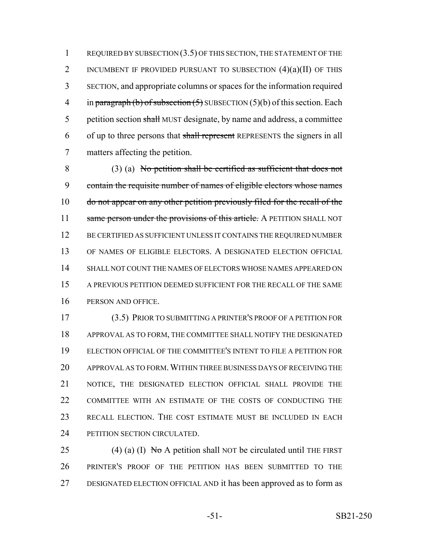1 REQUIRED BY SUBSECTION (3.5) OF THIS SECTION, THE STATEMENT OF THE 2 INCUMBENT IF PROVIDED PURSUANT TO SUBSECTION  $(4)(a)(II)$  of this SECTION, and appropriate columns or spaces for the information required 4 in paragraph (b) of subsection  $(5)$  SUBSECTION  $(5)(b)$  of this section. Each 5 petition section shall MUST designate, by name and address, a committee 6 of up to three persons that shall represent REPRESENTS the signers in all matters affecting the petition.

 (3) (a) No petition shall be certified as sufficient that does not contain the requisite number of names of eligible electors whose names do not appear on any other petition previously filed for the recall of the 11 same person under the provisions of this article. A PETITION SHALL NOT 12 BE CERTIFIED AS SUFFICIENT UNLESS IT CONTAINS THE REQUIRED NUMBER OF NAMES OF ELIGIBLE ELECTORS. A DESIGNATED ELECTION OFFICIAL SHALL NOT COUNT THE NAMES OF ELECTORS WHOSE NAMES APPEARED ON A PREVIOUS PETITION DEEMED SUFFICIENT FOR THE RECALL OF THE SAME PERSON AND OFFICE.

 (3.5) PRIOR TO SUBMITTING A PRINTER'S PROOF OF A PETITION FOR APPROVAL AS TO FORM, THE COMMITTEE SHALL NOTIFY THE DESIGNATED ELECTION OFFICIAL OF THE COMMITTEE'S INTENT TO FILE A PETITION FOR APPROVAL AS TO FORM.WITHIN THREE BUSINESS DAYS OF RECEIVING THE NOTICE, THE DESIGNATED ELECTION OFFICIAL SHALL PROVIDE THE 22 COMMITTEE WITH AN ESTIMATE OF THE COSTS OF CONDUCTING THE RECALL ELECTION. THE COST ESTIMATE MUST BE INCLUDED IN EACH 24 PETITION SECTION CIRCULATED.

25 (4) (a) (I) No A petition shall NOT be circulated until THE FIRST PRINTER'S PROOF OF THE PETITION HAS BEEN SUBMITTED TO THE DESIGNATED ELECTION OFFICIAL AND it has been approved as to form as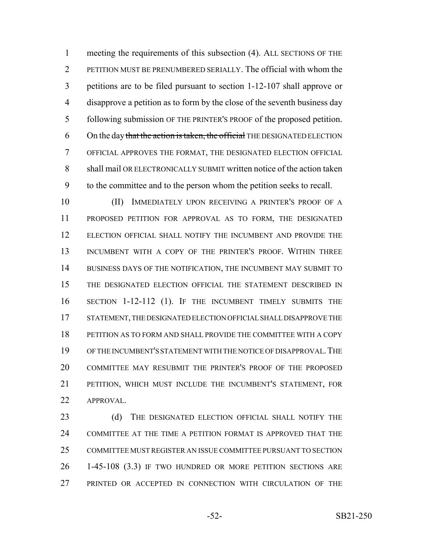meeting the requirements of this subsection (4). ALL SECTIONS OF THE PETITION MUST BE PRENUMBERED SERIALLY. The official with whom the petitions are to be filed pursuant to section 1-12-107 shall approve or disapprove a petition as to form by the close of the seventh business day following submission OF THE PRINTER'S PROOF of the proposed petition. 6 On the day that the action is taken, the official THE DESIGNATED ELECTION OFFICIAL APPROVES THE FORMAT, THE DESIGNATED ELECTION OFFICIAL shall mail OR ELECTRONICALLY SUBMIT written notice of the action taken to the committee and to the person whom the petition seeks to recall.

 (II) IMMEDIATELY UPON RECEIVING A PRINTER'S PROOF OF A PROPOSED PETITION FOR APPROVAL AS TO FORM, THE DESIGNATED ELECTION OFFICIAL SHALL NOTIFY THE INCUMBENT AND PROVIDE THE INCUMBENT WITH A COPY OF THE PRINTER'S PROOF. WITHIN THREE 14 BUSINESS DAYS OF THE NOTIFICATION, THE INCUMBENT MAY SUBMIT TO THE DESIGNATED ELECTION OFFICIAL THE STATEMENT DESCRIBED IN SECTION 1-12-112 (1). IF THE INCUMBENT TIMELY SUBMITS THE STATEMENT, THE DESIGNATED ELECTION OFFICIAL SHALL DISAPPROVE THE PETITION AS TO FORM AND SHALL PROVIDE THE COMMITTEE WITH A COPY OF THE INCUMBENT'S STATEMENT WITH THE NOTICE OF DISAPPROVAL.THE COMMITTEE MAY RESUBMIT THE PRINTER'S PROOF OF THE PROPOSED PETITION, WHICH MUST INCLUDE THE INCUMBENT'S STATEMENT, FOR 22 APPROVAL.

23 (d) THE DESIGNATED ELECTION OFFICIAL SHALL NOTIFY THE COMMITTEE AT THE TIME A PETITION FORMAT IS APPROVED THAT THE COMMITTEE MUST REGISTER AN ISSUE COMMITTEE PURSUANT TO SECTION 1-45-108 (3.3) IF TWO HUNDRED OR MORE PETITION SECTIONS ARE PRINTED OR ACCEPTED IN CONNECTION WITH CIRCULATION OF THE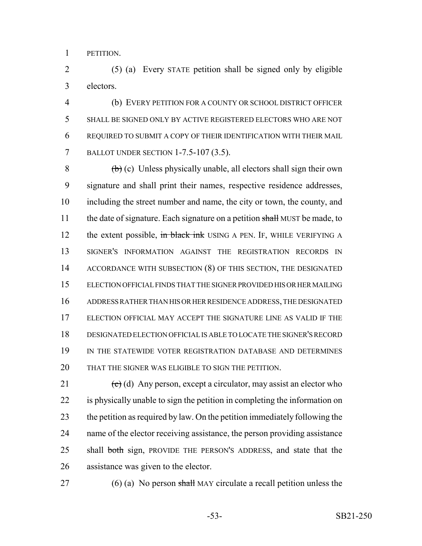PETITION.

 (5) (a) Every STATE petition shall be signed only by eligible electors.

 (b) EVERY PETITION FOR A COUNTY OR SCHOOL DISTRICT OFFICER SHALL BE SIGNED ONLY BY ACTIVE REGISTERED ELECTORS WHO ARE NOT REQUIRED TO SUBMIT A COPY OF THEIR IDENTIFICATION WITH THEIR MAIL BALLOT UNDER SECTION 1-7.5-107 (3.5).

 $\left(\frac{b}{c}\right)$  (c) Unless physically unable, all electors shall sign their own signature and shall print their names, respective residence addresses, including the street number and name, the city or town, the county, and 11 the date of signature. Each signature on a petition shall MUST be made, to 12 the extent possible, in black ink USING A PEN. IF, WHILE VERIFYING A SIGNER'S INFORMATION AGAINST THE REGISTRATION RECORDS IN 14 ACCORDANCE WITH SUBSECTION (8) OF THIS SECTION, THE DESIGNATED ELECTION OFFICIAL FINDS THAT THE SIGNER PROVIDED HIS OR HER MAILING ADDRESS RATHER THAN HIS OR HER RESIDENCE ADDRESS, THE DESIGNATED ELECTION OFFICIAL MAY ACCEPT THE SIGNATURE LINE AS VALID IF THE DESIGNATED ELECTION OFFICIAL IS ABLE TO LOCATE THE SIGNER'S RECORD 19 IN THE STATEWIDE VOTER REGISTRATION DATABASE AND DETERMINES THAT THE SIGNER WAS ELIGIBLE TO SIGN THE PETITION.

21 (c) (d) Any person, except a circulator, may assist an elector who is physically unable to sign the petition in completing the information on the petition as required by law. On the petition immediately following the name of the elector receiving assistance, the person providing assistance 25 shall both sign, PROVIDE THE PERSON'S ADDRESS, and state that the assistance was given to the elector.

27 (6) (a) No person shall MAY circulate a recall petition unless the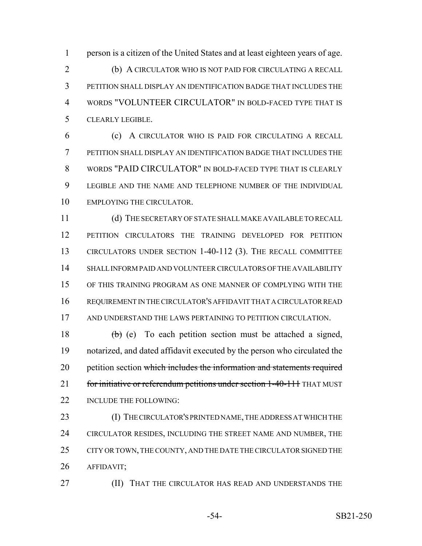person is a citizen of the United States and at least eighteen years of age. (b) A CIRCULATOR WHO IS NOT PAID FOR CIRCULATING A RECALL PETITION SHALL DISPLAY AN IDENTIFICATION BADGE THAT INCLUDES THE WORDS "VOLUNTEER CIRCULATOR" IN BOLD-FACED TYPE THAT IS CLEARLY LEGIBLE.

 (c) A CIRCULATOR WHO IS PAID FOR CIRCULATING A RECALL PETITION SHALL DISPLAY AN IDENTIFICATION BADGE THAT INCLUDES THE WORDS "PAID CIRCULATOR" IN BOLD-FACED TYPE THAT IS CLEARLY LEGIBLE AND THE NAME AND TELEPHONE NUMBER OF THE INDIVIDUAL EMPLOYING THE CIRCULATOR.

 (d) THE SECRETARY OF STATE SHALL MAKE AVAILABLE TO RECALL PETITION CIRCULATORS THE TRAINING DEVELOPED FOR PETITION CIRCULATORS UNDER SECTION 1-40-112 (3). THE RECALL COMMITTEE SHALL INFORM PAID AND VOLUNTEER CIRCULATORS OF THE AVAILABILITY OF THIS TRAINING PROGRAM AS ONE MANNER OF COMPLYING WITH THE REQUIREMENT IN THE CIRCULATOR'S AFFIDAVIT THAT A CIRCULATOR READ AND UNDERSTAND THE LAWS PERTAINING TO PETITION CIRCULATION.

18  $\left(\frac{b}{c}\right)$  (e) To each petition section must be attached a signed, notarized, and dated affidavit executed by the person who circulated the 20 petition section which includes the information and statements required 21 for initiative or referendum petitions under section 1-40-111 THAT MUST 22 INCLUDE THE FOLLOWING:

 (I) THE CIRCULATOR'S PRINTED NAME, THE ADDRESS AT WHICH THE 24 CIRCULATOR RESIDES, INCLUDING THE STREET NAME AND NUMBER, THE 25 CITY OR TOWN, THE COUNTY, AND THE DATE THE CIRCULATOR SIGNED THE AFFIDAVIT;

**(II) THAT THE CIRCULATOR HAS READ AND UNDERSTANDS THE**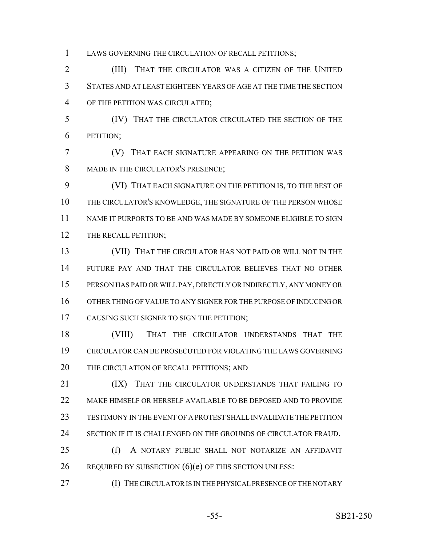LAWS GOVERNING THE CIRCULATION OF RECALL PETITIONS;

 (III) THAT THE CIRCULATOR WAS A CITIZEN OF THE UNITED STATES AND AT LEAST EIGHTEEN YEARS OF AGE AT THE TIME THE SECTION OF THE PETITION WAS CIRCULATED;

 (IV) THAT THE CIRCULATOR CIRCULATED THE SECTION OF THE PETITION;

 (V) THAT EACH SIGNATURE APPEARING ON THE PETITION WAS 8 MADE IN THE CIRCULATOR'S PRESENCE;

 (VI) THAT EACH SIGNATURE ON THE PETITION IS, TO THE BEST OF THE CIRCULATOR'S KNOWLEDGE, THE SIGNATURE OF THE PERSON WHOSE NAME IT PURPORTS TO BE AND WAS MADE BY SOMEONE ELIGIBLE TO SIGN 12 THE RECALL PETITION;

 (VII) THAT THE CIRCULATOR HAS NOT PAID OR WILL NOT IN THE FUTURE PAY AND THAT THE CIRCULATOR BELIEVES THAT NO OTHER PERSON HAS PAID OR WILL PAY, DIRECTLY OR INDIRECTLY, ANY MONEY OR OTHER THING OF VALUE TO ANY SIGNER FOR THE PURPOSE OF INDUCING OR CAUSING SUCH SIGNER TO SIGN THE PETITION;

 (VIII) THAT THE CIRCULATOR UNDERSTANDS THAT THE CIRCULATOR CAN BE PROSECUTED FOR VIOLATING THE LAWS GOVERNING 20 THE CIRCULATION OF RECALL PETITIONS; AND

**(IX)** THAT THE CIRCULATOR UNDERSTANDS THAT FAILING TO MAKE HIMSELF OR HERSELF AVAILABLE TO BE DEPOSED AND TO PROVIDE TESTIMONY IN THE EVENT OF A PROTEST SHALL INVALIDATE THE PETITION SECTION IF IT IS CHALLENGED ON THE GROUNDS OF CIRCULATOR FRAUD.

 (f) A NOTARY PUBLIC SHALL NOT NOTARIZE AN AFFIDAVIT 26 REQUIRED BY SUBSECTION  $(6)(e)$  OF THIS SECTION UNLESS:

(I) THE CIRCULATOR IS IN THE PHYSICAL PRESENCE OF THE NOTARY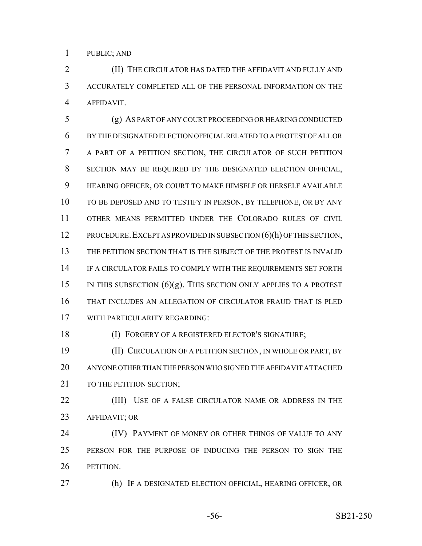PUBLIC; AND

 (II) THE CIRCULATOR HAS DATED THE AFFIDAVIT AND FULLY AND ACCURATELY COMPLETED ALL OF THE PERSONAL INFORMATION ON THE AFFIDAVIT.

 (g) AS PART OF ANY COURT PROCEEDING OR HEARING CONDUCTED BY THE DESIGNATED ELECTION OFFICIAL RELATED TO A PROTEST OF ALL OR A PART OF A PETITION SECTION, THE CIRCULATOR OF SUCH PETITION SECTION MAY BE REQUIRED BY THE DESIGNATED ELECTION OFFICIAL, HEARING OFFICER, OR COURT TO MAKE HIMSELF OR HERSELF AVAILABLE TO BE DEPOSED AND TO TESTIFY IN PERSON, BY TELEPHONE, OR BY ANY OTHER MEANS PERMITTED UNDER THE COLORADO RULES OF CIVIL 12 PROCEDURE. EXCEPT AS PROVIDED IN SUBSECTION (6)(h) OF THIS SECTION, THE PETITION SECTION THAT IS THE SUBJECT OF THE PROTEST IS INVALID IF A CIRCULATOR FAILS TO COMPLY WITH THE REQUIREMENTS SET FORTH 15 IN THIS SUBSECTION  $(6)(g)$ . This section only applies to a protest THAT INCLUDES AN ALLEGATION OF CIRCULATOR FRAUD THAT IS PLED WITH PARTICULARITY REGARDING:

(I) FORGERY OF A REGISTERED ELECTOR'S SIGNATURE;

 (II) CIRCULATION OF A PETITION SECTION, IN WHOLE OR PART, BY ANYONE OTHER THAN THE PERSON WHO SIGNED THE AFFIDAVIT ATTACHED 21 TO THE PETITION SECTION:

**(III)** USE OF A FALSE CIRCULATOR NAME OR ADDRESS IN THE AFFIDAVIT; OR

**(IV) PAYMENT OF MONEY OR OTHER THINGS OF VALUE TO ANY**  PERSON FOR THE PURPOSE OF INDUCING THE PERSON TO SIGN THE PETITION.

(h) IF A DESIGNATED ELECTION OFFICIAL, HEARING OFFICER, OR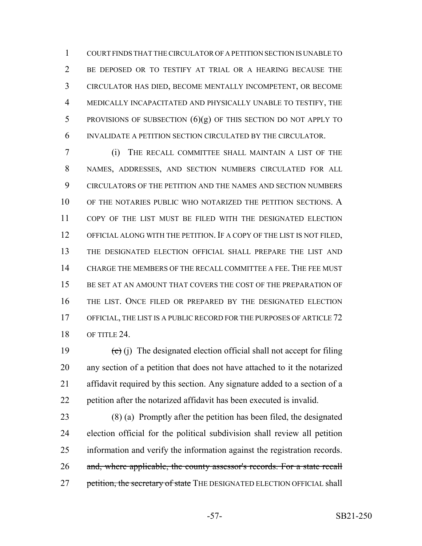COURT FINDS THAT THE CIRCULATOR OF A PETITION SECTION IS UNABLE TO BE DEPOSED OR TO TESTIFY AT TRIAL OR A HEARING BECAUSE THE CIRCULATOR HAS DIED, BECOME MENTALLY INCOMPETENT, OR BECOME MEDICALLY INCAPACITATED AND PHYSICALLY UNABLE TO TESTIFY, THE 5 PROVISIONS OF SUBSECTION  $(6)(g)$  of this section do not apply to INVALIDATE A PETITION SECTION CIRCULATED BY THE CIRCULATOR.

 (i) THE RECALL COMMITTEE SHALL MAINTAIN A LIST OF THE NAMES, ADDRESSES, AND SECTION NUMBERS CIRCULATED FOR ALL CIRCULATORS OF THE PETITION AND THE NAMES AND SECTION NUMBERS 10 OF THE NOTARIES PUBLIC WHO NOTARIZED THE PETITION SECTIONS. A COPY OF THE LIST MUST BE FILED WITH THE DESIGNATED ELECTION OFFICIAL ALONG WITH THE PETITION. IF A COPY OF THE LIST IS NOT FILED, THE DESIGNATED ELECTION OFFICIAL SHALL PREPARE THE LIST AND CHARGE THE MEMBERS OF THE RECALL COMMITTEE A FEE. THE FEE MUST BE SET AT AN AMOUNT THAT COVERS THE COST OF THE PREPARATION OF THE LIST. ONCE FILED OR PREPARED BY THE DESIGNATED ELECTION 17 OFFICIAL, THE LIST IS A PUBLIC RECORD FOR THE PURPOSES OF ARTICLE 72 OF TITLE 24.

 $\left(\text{e}\right)$  (j) The designated election official shall not accept for filing any section of a petition that does not have attached to it the notarized affidavit required by this section. Any signature added to a section of a petition after the notarized affidavit has been executed is invalid.

 (8) (a) Promptly after the petition has been filed, the designated election official for the political subdivision shall review all petition information and verify the information against the registration records. 26 and, where applicable, the county assessor's records. For a state recall 27 petition, the secretary of state THE DESIGNATED ELECTION OFFICIAL shall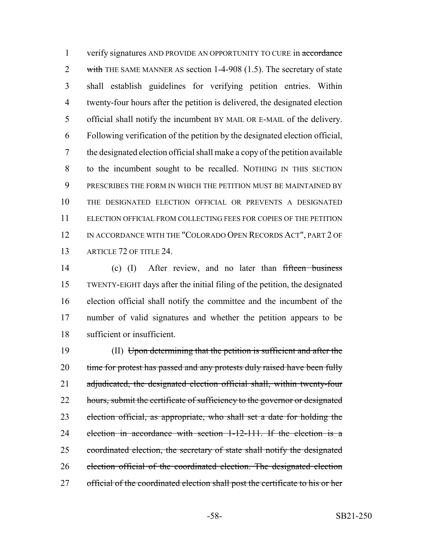1 verify signatures AND PROVIDE AN OPPORTUNITY TO CURE in accordance 2 with THE SAME MANNER AS section 1-4-908 (1.5). The secretary of state shall establish guidelines for verifying petition entries. Within twenty-four hours after the petition is delivered, the designated election official shall notify the incumbent BY MAIL OR E-MAIL of the delivery. Following verification of the petition by the designated election official, the designated election official shall make a copy of the petition available to the incumbent sought to be recalled. NOTHING IN THIS SECTION PRESCRIBES THE FORM IN WHICH THE PETITION MUST BE MAINTAINED BY THE DESIGNATED ELECTION OFFICIAL OR PREVENTS A DESIGNATED ELECTION OFFICIAL FROM COLLECTING FEES FOR COPIES OF THE PETITION 12 IN ACCORDANCE WITH THE "COLORADO OPEN RECORDS ACT", PART 2 OF 13 ARTICLE 72 OF TITLE 24.

14 (c) (I) After review, and no later than fifteen business TWENTY-EIGHT days after the initial filing of the petition, the designated election official shall notify the committee and the incumbent of the number of valid signatures and whether the petition appears to be sufficient or insufficient.

 (II) Upon determining that the petition is sufficient and after the 20 time for protest has passed and any protests duly raised have been fully 21 adjudicated, the designated election official shall, within twenty-four 22 hours, submit the certificate of sufficiency to the governor or designated election official, as appropriate, who shall set a date for holding the election in accordance with section 1-12-111. If the election is a 25 coordinated election, the secretary of state shall notify the designated election official of the coordinated election. The designated election 27 official of the coordinated election shall post the certificate to his or her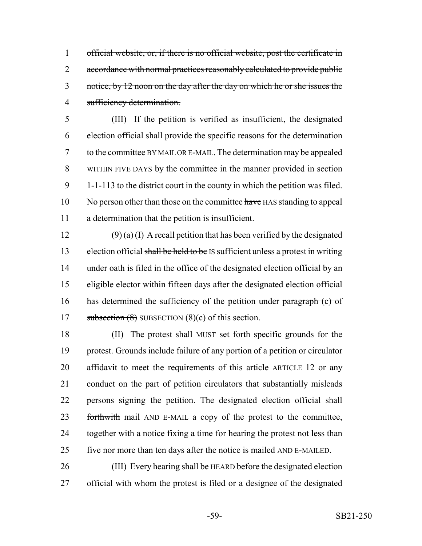official website, or, if there is no official website, post the certificate in 2 accordance with normal practices reasonably calculated to provide public 3 notice, by 12 noon on the day after the day on which he or she issues the sufficiency determination.

 (III) If the petition is verified as insufficient, the designated election official shall provide the specific reasons for the determination to the committee BY MAIL OR E-MAIL. The determination may be appealed WITHIN FIVE DAYS by the committee in the manner provided in section 1-1-113 to the district court in the county in which the petition was filed. 10 No person other than those on the committee have HAS standing to appeal a determination that the petition is insufficient.

12 (9) (a) (I) A recall petition that has been verified by the designated 13 election official shall be held to be IS sufficient unless a protest in writing under oath is filed in the office of the designated election official by an eligible elector within fifteen days after the designated election official 16 has determined the sufficiency of the petition under paragraph (c) of 17 subsection  $(8)$  SUBSECTION  $(8)(c)$  of this section.

18 (II) The protest shall MUST set forth specific grounds for the protest. Grounds include failure of any portion of a petition or circulator 20 affidavit to meet the requirements of this article ARTICLE 12 or any conduct on the part of petition circulators that substantially misleads persons signing the petition. The designated election official shall 23 forthwith mail AND E-MAIL a copy of the protest to the committee, together with a notice fixing a time for hearing the protest not less than five nor more than ten days after the notice is mailed AND E-MAILED.

 (III) Every hearing shall be HEARD before the designated election official with whom the protest is filed or a designee of the designated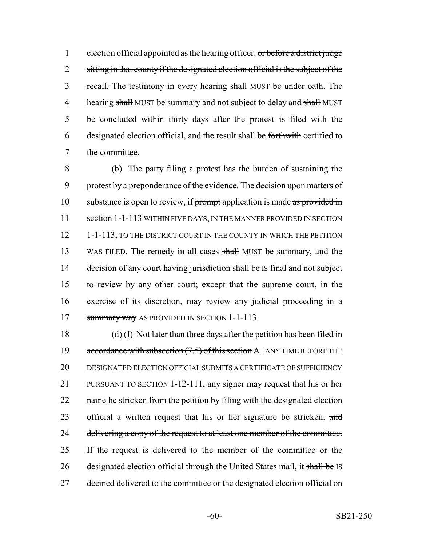1 election official appointed as the hearing officer.  $\sigma r$  before a district judge 2 sitting in that county if the designated election official is the subject of the 3 recall. The testimony in every hearing shall MUST be under oath. The 4 hearing shall MUST be summary and not subject to delay and shall MUST 5 be concluded within thirty days after the protest is filed with the 6 designated election official, and the result shall be forthwith certified to 7 the committee.

8 (b) The party filing a protest has the burden of sustaining the 9 protest by a preponderance of the evidence. The decision upon matters of 10 substance is open to review, if prompt application is made as provided in 11 section 1-1-113 WITHIN FIVE DAYS, IN THE MANNER PROVIDED IN SECTION 12 1-1-113, TO THE DISTRICT COURT IN THE COUNTY IN WHICH THE PETITION 13 WAS FILED. The remedy in all cases shall MUST be summary, and the 14 decision of any court having jurisdiction shall be IS final and not subject 15 to review by any other court; except that the supreme court, in the 16 exercise of its discretion, may review any judicial proceeding  $\frac{1}{2}$ 17 summary way AS PROVIDED IN SECTION 1-1-113.

18 (d) (I) Not later than three days after the petition has been filed in 19 accordance with subsection (7.5) of this section AT ANY TIME BEFORE THE 20 DESIGNATED ELECTION OFFICIAL SUBMITS A CERTIFICATE OF SUFFICIENCY 21 PURSUANT TO SECTION 1-12-111, any signer may request that his or her 22 name be stricken from the petition by filing with the designated election 23 official a written request that his or her signature be stricken. and 24 delivering a copy of the request to at least one member of the committee. 25 If the request is delivered to the member of the committee or the 26 designated election official through the United States mail, it shall be IS 27 deemed delivered to the committee or the designated election official on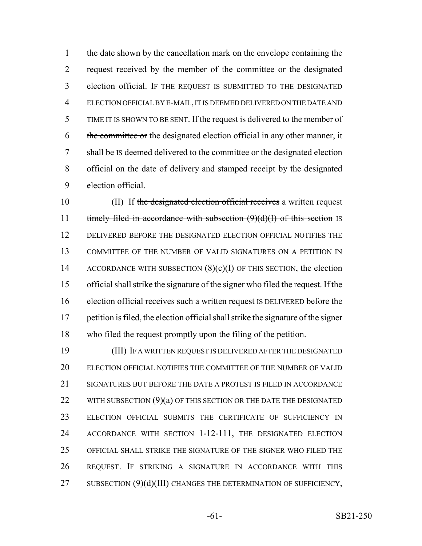the date shown by the cancellation mark on the envelope containing the request received by the member of the committee or the designated election official. IF THE REQUEST IS SUBMITTED TO THE DESIGNATED ELECTION OFFICIAL BY E-MAIL, IT IS DEEMED DELIVERED ON THE DATE AND 5 TIME IT IS SHOWN TO BE SENT. If the request is delivered to the member of 6 the committee or the designated election official in any other manner, it 7 shall be IS deemed delivered to the committee or the designated election official on the date of delivery and stamped receipt by the designated election official.

10 (II) If the designated election official receives a written request 11 timely filed in accordance with subsection  $(9)(d)(I)$  of this section IS DELIVERED BEFORE THE DESIGNATED ELECTION OFFICIAL NOTIFIES THE COMMITTEE OF THE NUMBER OF VALID SIGNATURES ON A PETITION IN 14 ACCORDANCE WITH SUBSECTION  $(8)(c)(I)$  OF THIS SECTION, the election official shall strike the signature of the signer who filed the request. If the 16 election official receives such a written request IS DELIVERED before the petition is filed, the election official shall strike the signature of the signer who filed the request promptly upon the filing of the petition.

 (III) IF A WRITTEN REQUEST IS DELIVERED AFTER THE DESIGNATED ELECTION OFFICIAL NOTIFIES THE COMMITTEE OF THE NUMBER OF VALID 21 SIGNATURES BUT BEFORE THE DATE A PROTEST IS FILED IN ACCORDANCE 22 WITH SUBSECTION  $(9)(a)$  of this section or the DATE The DESIGNATED ELECTION OFFICIAL SUBMITS THE CERTIFICATE OF SUFFICIENCY IN ACCORDANCE WITH SECTION 1-12-111, THE DESIGNATED ELECTION OFFICIAL SHALL STRIKE THE SIGNATURE OF THE SIGNER WHO FILED THE REQUEST. IF STRIKING A SIGNATURE IN ACCORDANCE WITH THIS 27 SUBSECTION (9)(d)(III) CHANGES THE DETERMINATION OF SUFFICIENCY,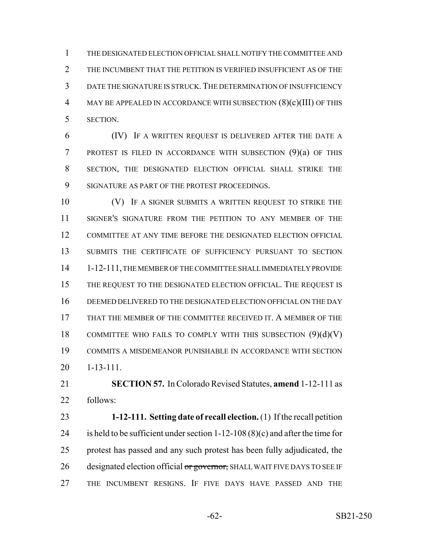THE DESIGNATED ELECTION OFFICIAL SHALL NOTIFY THE COMMITTEE AND 2 THE INCUMBENT THAT THE PETITION IS VERIFIED INSUFFICIENT AS OF THE DATE THE SIGNATURE IS STRUCK.THE DETERMINATION OF INSUFFICIENCY MAY BE APPEALED IN ACCORDANCE WITH SUBSECTION (8)(c)(III) OF THIS SECTION.

 (IV) IF A WRITTEN REQUEST IS DELIVERED AFTER THE DATE A PROTEST IS FILED IN ACCORDANCE WITH SUBSECTION (9)(a) OF THIS SECTION, THE DESIGNATED ELECTION OFFICIAL SHALL STRIKE THE SIGNATURE AS PART OF THE PROTEST PROCEEDINGS.

10 (V) IF A SIGNER SUBMITS A WRITTEN REQUEST TO STRIKE THE SIGNER'S SIGNATURE FROM THE PETITION TO ANY MEMBER OF THE COMMITTEE AT ANY TIME BEFORE THE DESIGNATED ELECTION OFFICIAL SUBMITS THE CERTIFICATE OF SUFFICIENCY PURSUANT TO SECTION 1-12-111, THE MEMBER OF THE COMMITTEE SHALL IMMEDIATELY PROVIDE THE REQUEST TO THE DESIGNATED ELECTION OFFICIAL. THE REQUEST IS DEEMED DELIVERED TO THE DESIGNATED ELECTION OFFICIAL ON THE DAY THAT THE MEMBER OF THE COMMITTEE RECEIVED IT. A MEMBER OF THE 18 COMMITTEE WHO FAILS TO COMPLY WITH THIS SUBSECTION  $(9)(d)(V)$  COMMITS A MISDEMEANOR PUNISHABLE IN ACCORDANCE WITH SECTION 1-13-111.

 **SECTION 57.** In Colorado Revised Statutes, **amend** 1-12-111 as follows:

 **1-12-111. Setting date of recall election.** (1) If the recall petition 24 is held to be sufficient under section  $1-12-108(8)(c)$  and after the time for protest has passed and any such protest has been fully adjudicated, the 26 designated election official or governor, SHALL WAIT FIVE DAYS TO SEE IF THE INCUMBENT RESIGNS. IF FIVE DAYS HAVE PASSED AND THE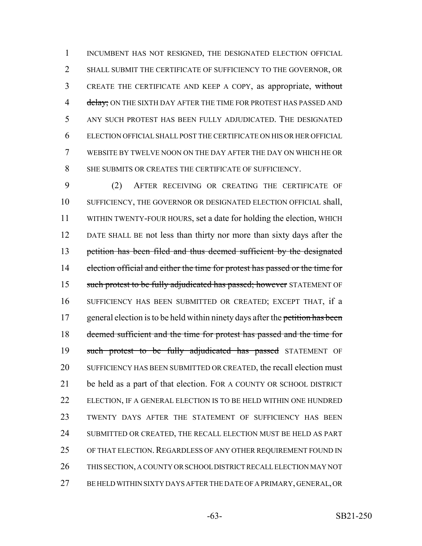1 INCUMBENT HAS NOT RESIGNED, THE DESIGNATED ELECTION OFFICIAL SHALL SUBMIT THE CERTIFICATE OF SUFFICIENCY TO THE GOVERNOR, OR CREATE THE CERTIFICATE AND KEEP A COPY, as appropriate, without 4 delay; ON THE SIXTH DAY AFTER THE TIME FOR PROTEST HAS PASSED AND ANY SUCH PROTEST HAS BEEN FULLY ADJUDICATED. THE DESIGNATED ELECTION OFFICIAL SHALL POST THE CERTIFICATE ON HIS OR HER OFFICIAL WEBSITE BY TWELVE NOON ON THE DAY AFTER THE DAY ON WHICH HE OR 8 SHE SUBMITS OR CREATES THE CERTIFICATE OF SUFFICIENCY.

 (2) AFTER RECEIVING OR CREATING THE CERTIFICATE OF SUFFICIENCY, THE GOVERNOR OR DESIGNATED ELECTION OFFICIAL shall, WITHIN TWENTY-FOUR HOURS, set a date for holding the election, WHICH DATE SHALL BE not less than thirty nor more than sixty days after the petition has been filed and thus deemed sufficient by the designated 14 election official and either the time for protest has passed or the time for 15 such protest to be fully adjudicated has passed; however STATEMENT OF SUFFICIENCY HAS BEEN SUBMITTED OR CREATED; EXCEPT THAT, if a 17 general election is to be held within ninety days after the petition has been deemed sufficient and the time for protest has passed and the time for 19 such protest to be fully adjudicated has passed STATEMENT OF 20 SUFFICIENCY HAS BEEN SUBMITTED OR CREATED, the recall election must be held as a part of that election. FOR A COUNTY OR SCHOOL DISTRICT 22 ELECTION, IF A GENERAL ELECTION IS TO BE HELD WITHIN ONE HUNDRED TWENTY DAYS AFTER THE STATEMENT OF SUFFICIENCY HAS BEEN SUBMITTED OR CREATED, THE RECALL ELECTION MUST BE HELD AS PART 25 OF THAT ELECTION. REGARDLESS OF ANY OTHER REQUIREMENT FOUND IN THIS SECTION, A COUNTY OR SCHOOL DISTRICT RECALL ELECTION MAY NOT BE HELD WITHIN SIXTY DAYS AFTER THE DATE OF A PRIMARY, GENERAL, OR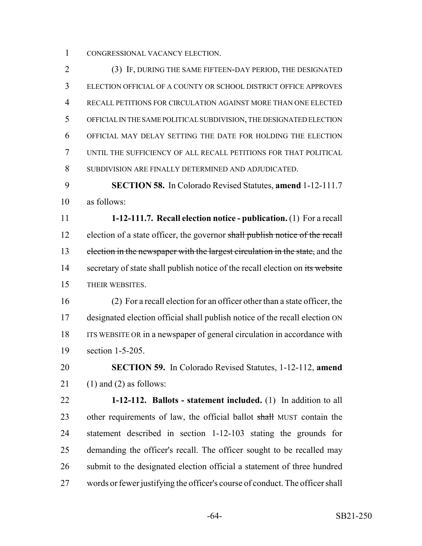CONGRESSIONAL VACANCY ELECTION.

 (3) IF, DURING THE SAME FIFTEEN-DAY PERIOD, THE DESIGNATED ELECTION OFFICIAL OF A COUNTY OR SCHOOL DISTRICT OFFICE APPROVES RECALL PETITIONS FOR CIRCULATION AGAINST MORE THAN ONE ELECTED OFFICIAL IN THE SAME POLITICAL SUBDIVISION, THE DESIGNATED ELECTION OFFICIAL MAY DELAY SETTING THE DATE FOR HOLDING THE ELECTION UNTIL THE SUFFICIENCY OF ALL RECALL PETITIONS FOR THAT POLITICAL SUBDIVISION ARE FINALLY DETERMINED AND ADJUDICATED.

 **SECTION 58.** In Colorado Revised Statutes, **amend** 1-12-111.7 as follows:

 **1-12-111.7. Recall election notice - publication.** (1) For a recall 12 election of a state officer, the governor shall publish notice of the recall 13 election in the newspaper with the largest circulation in the state, and the 14 secretary of state shall publish notice of the recall election on its website THEIR WEBSITES.

 (2) For a recall election for an officer other than a state officer, the designated election official shall publish notice of the recall election ON ITS WEBSITE OR in a newspaper of general circulation in accordance with section 1-5-205.

 **SECTION 59.** In Colorado Revised Statutes, 1-12-112, **amend** 21 (1) and (2) as follows:

 **1-12-112. Ballots - statement included.** (1) In addition to all 23 other requirements of law, the official ballot shall MUST contain the statement described in section 1-12-103 stating the grounds for demanding the officer's recall. The officer sought to be recalled may submit to the designated election official a statement of three hundred words or fewer justifying the officer's course of conduct. The officer shall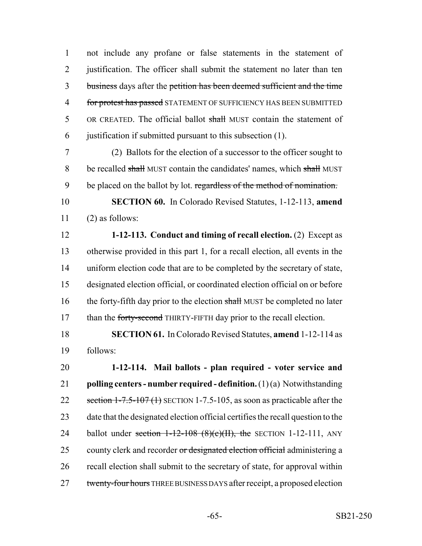1 not include any profane or false statements in the statement of 2 justification. The officer shall submit the statement no later than ten 3 business days after the petition has been deemed sufficient and the time 4 for protest has passed STATEMENT OF SUFFICIENCY HAS BEEN SUBMITTED 5 OR CREATED. The official ballot shall MUST contain the statement of 6 justification if submitted pursuant to this subsection (1).

7 (2) Ballots for the election of a successor to the officer sought to 8 be recalled shall MUST contain the candidates' names, which shall MUST 9 be placed on the ballot by lot. regardless of the method of nomination.

10 **SECTION 60.** In Colorado Revised Statutes, 1-12-113, **amend**  $11$  (2) as follows:

 **1-12-113. Conduct and timing of recall election.** (2) Except as otherwise provided in this part 1, for a recall election, all events in the uniform election code that are to be completed by the secretary of state, designated election official, or coordinated election official on or before 16 the forty-fifth day prior to the election shall MUST be completed no later 17 than the forty-second THIRTY-FIFTH day prior to the recall election.

18 **SECTION 61.** In Colorado Revised Statutes, **amend** 1-12-114 as 19 follows:

20 **1-12-114. Mail ballots - plan required - voter service and** 21 **polling centers - number required - definition.** (1) (a) Notwithstanding 22 section 1-7.5-107(1) SECTION 1-7.5-105, as soon as practicable after the 23 date that the designated election official certifies the recall question to the 24 ballot under section  $1-12-108$  (8)(c)(II), the SECTION 1-12-111, ANY 25 county clerk and recorder or designated election official administering a 26 recall election shall submit to the secretary of state, for approval within 27 twenty-four hours THREE BUSINESS DAYS after receipt, a proposed election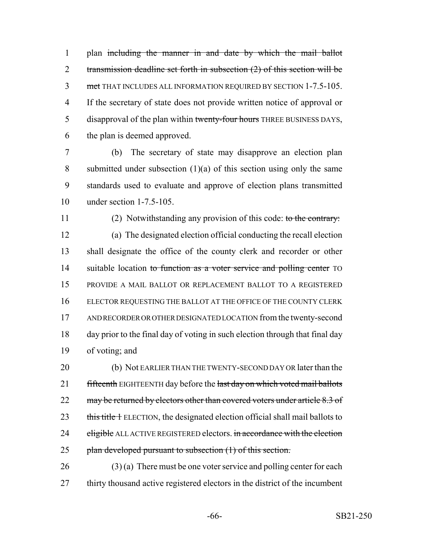plan including the manner in and date by which the mail ballot 2 transmission deadline set forth in subsection (2) of this section will be met THAT INCLUDES ALL INFORMATION REQUIRED BY SECTION 1-7.5-105. If the secretary of state does not provide written notice of approval or 5 disapproval of the plan within twenty-four hours THREE BUSINESS DAYS, the plan is deemed approved.

 (b) The secretary of state may disapprove an election plan 8 submitted under subsection  $(1)(a)$  of this section using only the same standards used to evaluate and approve of election plans transmitted under section 1-7.5-105.

11 (2) Notwithstanding any provision of this code: to the contrary: (a) The designated election official conducting the recall election shall designate the office of the county clerk and recorder or other 14 suitable location to function as a voter service and polling center TO PROVIDE A MAIL BALLOT OR REPLACEMENT BALLOT TO A REGISTERED ELECTOR REQUESTING THE BALLOT AT THE OFFICE OF THE COUNTY CLERK AND RECORDER OR OTHER DESIGNATED LOCATION from the twenty-second day prior to the final day of voting in such election through that final day of voting; and

 (b) Not EARLIER THAN THE TWENTY-SECOND DAY OR later than the 21 fifteenth EIGHTEENTH day before the last day on which voted mail ballots 22 may be returned by electors other than covered voters under article 8.3 of 23 this title + ELECTION, the designated election official shall mail ballots to 24 eligible ALL ACTIVE REGISTERED electors. in accordance with the election 25 plan developed pursuant to subsection (1) of this section.

 (3) (a) There must be one voter service and polling center for each thirty thousand active registered electors in the district of the incumbent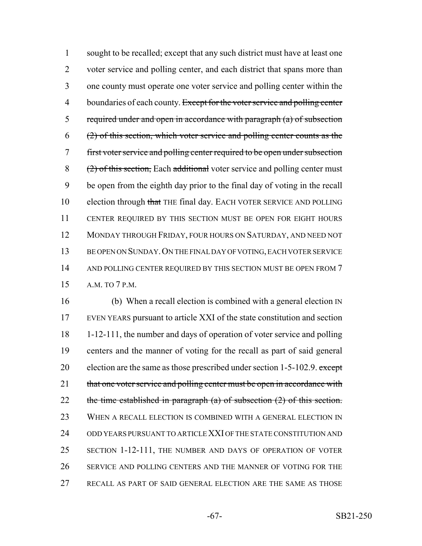sought to be recalled; except that any such district must have at least one 2 voter service and polling center, and each district that spans more than one county must operate one voter service and polling center within the 4 boundaries of each county. Except for the voter service and polling center required under and open in accordance with paragraph (a) of subsection (2) of this section, which voter service and polling center counts as the first voter service and polling center required to be open under subsection  $(2)$  of this section, Each additional voter service and polling center must be open from the eighth day prior to the final day of voting in the recall 10 election through that THE final day. EACH VOTER SERVICE AND POLLING CENTER REQUIRED BY THIS SECTION MUST BE OPEN FOR EIGHT HOURS MONDAY THROUGH FRIDAY, FOUR HOURS ON SATURDAY, AND NEED NOT BE OPEN ON SUNDAY.ON THE FINAL DAY OF VOTING, EACH VOTER SERVICE 14 AND POLLING CENTER REQUIRED BY THIS SECTION MUST BE OPEN FROM 7 A.M. TO 7 P.M.

 (b) When a recall election is combined with a general election IN EVEN YEARS pursuant to article XXI of the state constitution and section 1-12-111, the number and days of operation of voter service and polling centers and the manner of voting for the recall as part of said general 20 election are the same as those prescribed under section  $1-5-102.9$ . except 21 that one voter service and polling center must be open in accordance with 22 the time established in paragraph  $(a)$  of subsection  $(2)$  of this section. WHEN A RECALL ELECTION IS COMBINED WITH A GENERAL ELECTION IN ODD YEARS PURSUANT TO ARTICLE XXI OF THE STATE CONSTITUTION AND SECTION 1-12-111, THE NUMBER AND DAYS OF OPERATION OF VOTER SERVICE AND POLLING CENTERS AND THE MANNER OF VOTING FOR THE RECALL AS PART OF SAID GENERAL ELECTION ARE THE SAME AS THOSE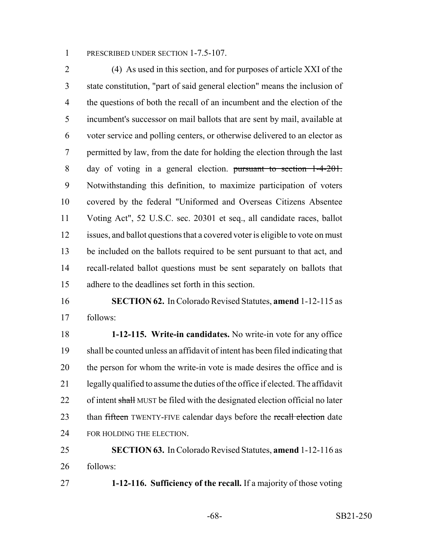1 PRESCRIBED UNDER SECTION 1-7.5-107.

 (4) As used in this section, and for purposes of article XXI of the state constitution, "part of said general election" means the inclusion of the questions of both the recall of an incumbent and the election of the incumbent's successor on mail ballots that are sent by mail, available at voter service and polling centers, or otherwise delivered to an elector as permitted by law, from the date for holding the election through the last day of voting in a general election. pursuant to section 1-4-201. Notwithstanding this definition, to maximize participation of voters covered by the federal "Uniformed and Overseas Citizens Absentee Voting Act", 52 U.S.C. sec. 20301 et seq., all candidate races, ballot issues, and ballot questions that a covered voter is eligible to vote on must be included on the ballots required to be sent pursuant to that act, and recall-related ballot questions must be sent separately on ballots that adhere to the deadlines set forth in this section.

 **SECTION 62.** In Colorado Revised Statutes, **amend** 1-12-115 as follows:

 **1-12-115. Write-in candidates.** No write-in vote for any office shall be counted unless an affidavit of intent has been filed indicating that 20 the person for whom the write-in vote is made desires the office and is legally qualified to assume the duties of the office if elected. The affidavit 22 of intent shall MUST be filed with the designated election official no later 23 than fifteen TWENTY-FIVE calendar days before the recall election date 24 FOR HOLDING THE ELECTION.

 **SECTION 63.** In Colorado Revised Statutes, **amend** 1-12-116 as follows:

**1-12-116. Sufficiency of the recall.** If a majority of those voting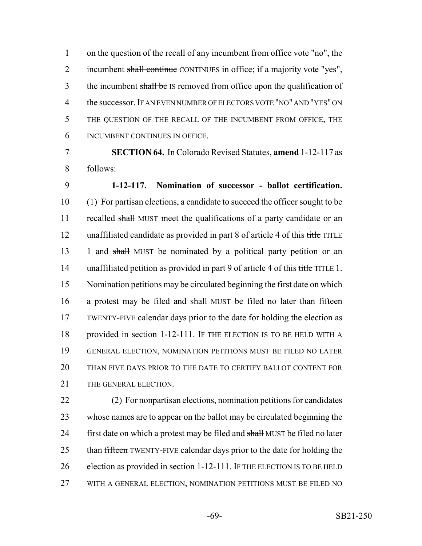on the question of the recall of any incumbent from office vote "no", the 2 incumbent shall continue CONTINUES in office; if a majority vote "yes", 3 the incumbent shall be IS removed from office upon the qualification of the successor. IF AN EVEN NUMBER OF ELECTORS VOTE "NO" AND "YES" ON THE QUESTION OF THE RECALL OF THE INCUMBENT FROM OFFICE, THE INCUMBENT CONTINUES IN OFFICE.

7 **SECTION 64.** In Colorado Revised Statutes, **amend** 1-12-117 as 8 follows:

9 **1-12-117. Nomination of successor - ballot certification.** 10 (1) For partisan elections, a candidate to succeed the officer sought to be 11 recalled shall MUST meet the qualifications of a party candidate or an 12 unaffiliated candidate as provided in part 8 of article 4 of this title TITLE 13 1 and shall MUST be nominated by a political party petition or an 14 unaffiliated petition as provided in part 9 of article 4 of this title TITLE 1. 15 Nomination petitions may be circulated beginning the first date on which 16 a protest may be filed and shall MUST be filed no later than fifteen 17 TWENTY-FIVE calendar days prior to the date for holding the election as 18 provided in section 1-12-111. IF THE ELECTION IS TO BE HELD WITH A 19 GENERAL ELECTION, NOMINATION PETITIONS MUST BE FILED NO LATER 20 THAN FIVE DAYS PRIOR TO THE DATE TO CERTIFY BALLOT CONTENT FOR 21 THE GENERAL ELECTION.

22 (2) For nonpartisan elections, nomination petitions for candidates 23 whose names are to appear on the ballot may be circulated beginning the 24 first date on which a protest may be filed and shall MUST be filed no later 25 than fifteen TWENTY-FIVE calendar days prior to the date for holding the 26 election as provided in section 1-12-111. IF THE ELECTION IS TO BE HELD 27 WITH A GENERAL ELECTION, NOMINATION PETITIONS MUST BE FILED NO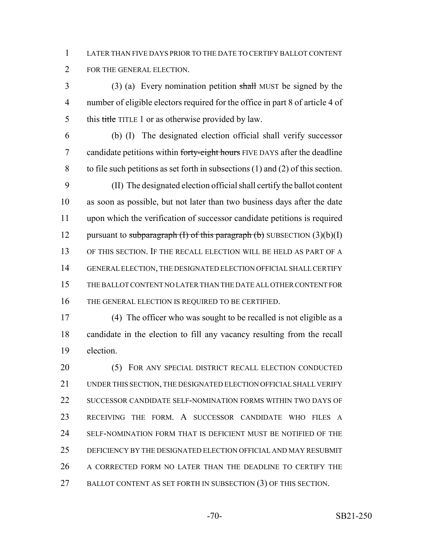LATER THAN FIVE DAYS PRIOR TO THE DATE TO CERTIFY BALLOT CONTENT FOR THE GENERAL ELECTION.

 (3) (a) Every nomination petition shall MUST be signed by the number of eligible electors required for the office in part 8 of article 4 of 5 this title TITLE 1 or as otherwise provided by law.

 (b) (I) The designated election official shall verify successor 7 candidate petitions within forty-eight hours FIVE DAYS after the deadline to file such petitions as set forth in subsections (1) and (2) of this section.

 (II) The designated election official shall certify the ballot content as soon as possible, but not later than two business days after the date upon which the verification of successor candidate petitions is required 12 pursuant to subparagraph  $(I)$  of this paragraph  $(b)$  SUBSECTION  $(3)(b)(I)$  OF THIS SECTION. IF THE RECALL ELECTION WILL BE HELD AS PART OF A GENERAL ELECTION, THE DESIGNATED ELECTION OFFICIAL SHALL CERTIFY THE BALLOT CONTENT NO LATER THAN THE DATE ALL OTHER CONTENT FOR THE GENERAL ELECTION IS REQUIRED TO BE CERTIFIED.

 (4) The officer who was sought to be recalled is not eligible as a candidate in the election to fill any vacancy resulting from the recall election.

20 (5) FOR ANY SPECIAL DISTRICT RECALL ELECTION CONDUCTED UNDER THIS SECTION, THE DESIGNATED ELECTION OFFICIAL SHALL VERIFY 22 SUCCESSOR CANDIDATE SELF-NOMINATION FORMS WITHIN TWO DAYS OF RECEIVING THE FORM. A SUCCESSOR CANDIDATE WHO FILES A SELF-NOMINATION FORM THAT IS DEFICIENT MUST BE NOTIFIED OF THE DEFICIENCY BY THE DESIGNATED ELECTION OFFICIAL AND MAY RESUBMIT 26 A CORRECTED FORM NO LATER THAN THE DEADLINE TO CERTIFY THE 27 BALLOT CONTENT AS SET FORTH IN SUBSECTION (3) OF THIS SECTION.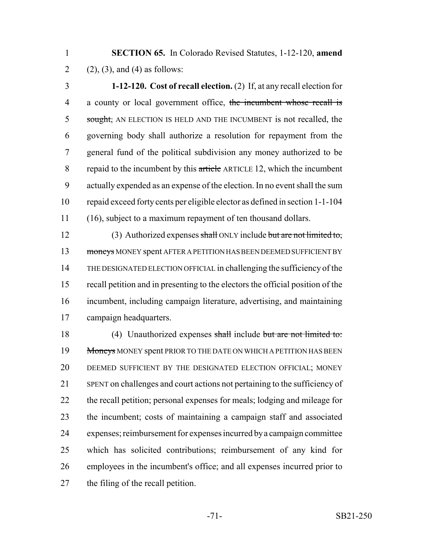**SECTION 65.** In Colorado Revised Statutes, 1-12-120, **amend** 2 (2), (3), and (4) as follows:

 **1-12-120. Cost of recall election.** (2) If, at any recall election for 4 a county or local government office, the incumbent whose recall is 5 sought, AN ELECTION IS HELD AND THE INCUMBENT is not recalled, the governing body shall authorize a resolution for repayment from the general fund of the political subdivision any money authorized to be 8 repaid to the incumbent by this article ARTICLE 12, which the incumbent actually expended as an expense of the election. In no event shall the sum repaid exceed forty cents per eligible elector as defined in section 1-1-104 (16), subject to a maximum repayment of ten thousand dollars.

12 (3) Authorized expenses shall ONLY include but are not limited to, 13 moneys MONEY spent AFTER A PETITION HAS BEEN DEEMED SUFFICIENT BY THE DESIGNATED ELECTION OFFICIAL in challenging the sufficiency of the recall petition and in presenting to the electors the official position of the incumbent, including campaign literature, advertising, and maintaining campaign headquarters.

 (4) Unauthorized expenses shall include but are not limited to: 19 Moneys MONEY spent PRIOR TO THE DATE ON WHICH A PETITION HAS BEEN DEEMED SUFFICIENT BY THE DESIGNATED ELECTION OFFICIAL; MONEY SPENT on challenges and court actions not pertaining to the sufficiency of the recall petition; personal expenses for meals; lodging and mileage for the incumbent; costs of maintaining a campaign staff and associated expenses; reimbursement for expenses incurred by a campaign committee which has solicited contributions; reimbursement of any kind for employees in the incumbent's office; and all expenses incurred prior to the filing of the recall petition.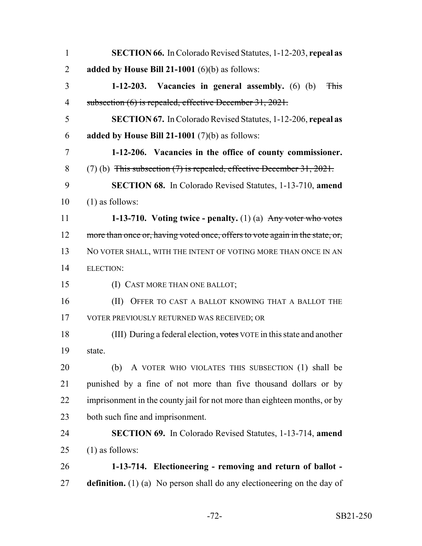| $\mathbf{1}$   | <b>SECTION 66.</b> In Colorado Revised Statutes, 1-12-203, repeal as           |
|----------------|--------------------------------------------------------------------------------|
| $\overline{2}$ | added by House Bill 21-1001 $(6)(b)$ as follows:                               |
| 3              | 1-12-203. Vacancies in general assembly. $(6)$ $(b)$<br><b>This</b>            |
| $\overline{4}$ | subsection (6) is repealed, effective December 31, 2021.                       |
| 5              | <b>SECTION 67.</b> In Colorado Revised Statutes, 1-12-206, repeal as           |
| 6              | added by House Bill 21-1001 $(7)(b)$ as follows:                               |
| 7              | 1-12-206. Vacancies in the office of county commissioner.                      |
| 8              | $(7)$ (b) This subsection $(7)$ is repealed, effective December 31, 2021.      |
| 9              | <b>SECTION 68.</b> In Colorado Revised Statutes, 1-13-710, amend               |
| 10             | $(1)$ as follows:                                                              |
| 11             | 1-13-710. Voting twice - penalty. $(1)$ (a) Any voter who votes                |
| 12             | more than once or, having voted once, offers to vote again in the state, or,   |
| 13             | NO VOTER SHALL, WITH THE INTENT OF VOTING MORE THAN ONCE IN AN                 |
| 14             | <b>ELECTION:</b>                                                               |
| 15             | (I) CAST MORE THAN ONE BALLOT;                                                 |
| 16             | (II)<br>OFFER TO CAST A BALLOT KNOWING THAT A BALLOT THE                       |
| 17             | VOTER PREVIOUSLY RETURNED WAS RECEIVED; OR                                     |
| 18             | (III) During a federal election, votes VOTE in this state and another          |
| 19             | state.                                                                         |
| 20             | A VOTER WHO VIOLATES THIS SUBSECTION (1) shall be<br>(b)                       |
| 21             | punished by a fine of not more than five thousand dollars or by                |
| 22             | imprisonment in the county jail for not more than eighteen months, or by       |
| 23             | both such fine and imprisonment.                                               |
| 24             | SECTION 69. In Colorado Revised Statutes, 1-13-714, amend                      |
| 25             | $(1)$ as follows:                                                              |
| 26             | 1-13-714. Electioneering - removing and return of ballot -                     |
| 27             | <b>definition.</b> (1) (a) No person shall do any electioneering on the day of |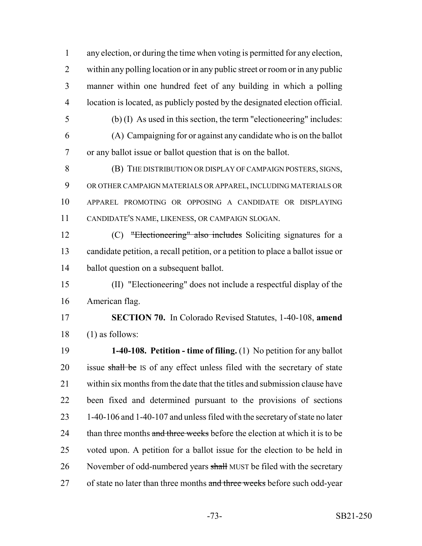any election, or during the time when voting is permitted for any election, within any polling location or in any public street or room or in any public manner within one hundred feet of any building in which a polling location is located, as publicly posted by the designated election official.

 (b) (I) As used in this section, the term "electioneering" includes: (A) Campaigning for or against any candidate who is on the ballot or any ballot issue or ballot question that is on the ballot.

 (B) THE DISTRIBUTION OR DISPLAY OF CAMPAIGN POSTERS, SIGNS, OR OTHER CAMPAIGN MATERIALS OR APPAREL, INCLUDING MATERIALS OR APPAREL PROMOTING OR OPPOSING A CANDIDATE OR DISPLAYING CANDIDATE'S NAME, LIKENESS, OR CAMPAIGN SLOGAN.

 (C) "Electioneering" also includes Soliciting signatures for a candidate petition, a recall petition, or a petition to place a ballot issue or ballot question on a subsequent ballot.

 (II) "Electioneering" does not include a respectful display of the American flag.

 **SECTION 70.** In Colorado Revised Statutes, 1-40-108, **amend** (1) as follows:

 **1-40-108. Petition - time of filing.** (1) No petition for any ballot 20 issue shall be IS of any effect unless filed with the secretary of state within six months from the date that the titles and submission clause have been fixed and determined pursuant to the provisions of sections 1-40-106 and 1-40-107 and unless filed with the secretary of state no later 24 than three months and three weeks before the election at which it is to be voted upon. A petition for a ballot issue for the election to be held in 26 November of odd-numbered years shall MUST be filed with the secretary 27 of state no later than three months and three weeks before such odd-year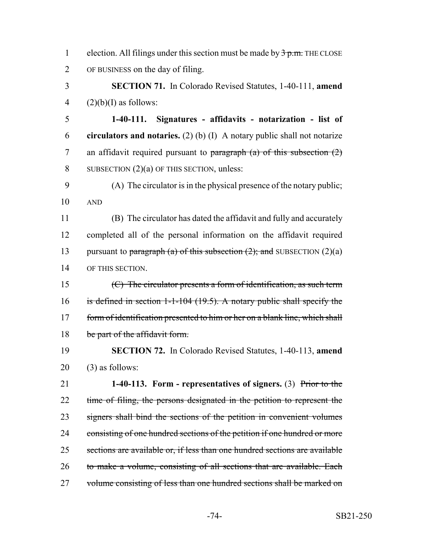1 election. All filings under this section must be made by  $\frac{3}{2}$  p.m. THE CLOSE 2 OF BUSINESS on the day of filing.

3 **SECTION 71.** In Colorado Revised Statutes, 1-40-111, **amend** 4  $(2)(b)(I)$  as follows:

5 **1-40-111. Signatures - affidavits - notarization - list of** 6 **circulators and notaries.** (2) (b) (I) A notary public shall not notarize 7 an affidavit required pursuant to paragraph  $(a)$  of this subsection  $(2)$ 8 SUBSECTION (2)(a) OF THIS SECTION, unless:

9 (A) The circulator is in the physical presence of the notary public; 10 AND

 (B) The circulator has dated the affidavit and fully and accurately completed all of the personal information on the affidavit required 13 pursuant to paragraph (a) of this subsection  $(2)$ ; and SUBSECTION  $(2)(a)$ OF THIS SECTION.

15 (C) The circulator presents a form of identification, as such term 16 is defined in section 1-1-104 (19.5). A notary public shall specify the 17 form of identification presented to him or her on a blank line, which shall 18 be part of the affidavit form.

19 **SECTION 72.** In Colorado Revised Statutes, 1-40-113, **amend** 20 (3) as follows:

21 **1-40-113. Form - representatives of signers.** (3) Prior to the 22 time of filing, the persons designated in the petition to represent the 23 signers shall bind the sections of the petition in convenient volumes 24 consisting of one hundred sections of the petition if one hundred or more 25 sections are available or, if less than one hundred sections are available 26 to make a volume, consisting of all sections that are available. Each 27 volume consisting of less than one hundred sections shall be marked on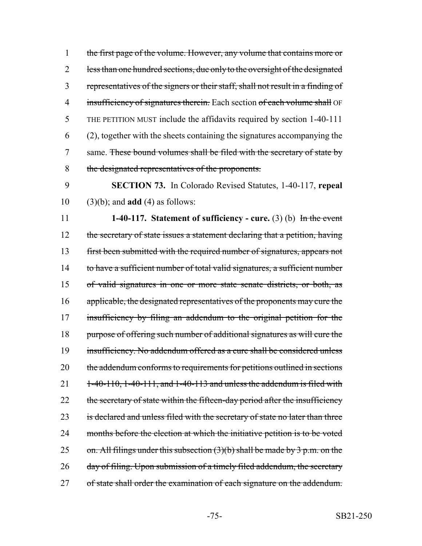1 the first page of the volume. However, any volume that contains more or 2 less than one hundred sections, due only to the oversight of the designated 3 representatives of the signers or their staff, shall not result in a finding of 4 insufficiency of signatures therein. Each section of each volume shall OF 5 THE PETITION MUST include the affidavits required by section 1-40-111 6 (2), together with the sheets containing the signatures accompanying the 7 same. These bound volumes shall be filed with the secretary of state by 8 the designated representatives of the proponents.

9 **SECTION 73.** In Colorado Revised Statutes, 1-40-117, **repeal** 10 (3)(b); and **add** (4) as follows:

11 **1-40-117. Statement of sufficiency - cure.** (3) (b) In the event 12 the secretary of state issues a statement declaring that a petition, having 13 first been submitted with the required number of signatures, appears not 14 to have a sufficient number of total valid signatures, a sufficient number 15 of valid signatures in one or more state senate districts, or both, as 16 applicable, the designated representatives of the proponents may cure the 17 insufficiency by filing an addendum to the original petition for the 18 purpose of offering such number of additional signatures as will cure the 19 insufficiency. No addendum offered as a cure shall be considered unless 20 the addendum conforms to requirements for petitions outlined in sections 21  $1-40-110$ ,  $1-40-111$ , and  $1-40-113$  and unless the addendum is filed with 22 the secretary of state within the fifteen-day period after the insufficiency 23 is declared and unless filed with the secretary of state no later than three 24 months before the election at which the initiative petition is to be voted 25 on. All filings under this subsection  $(3)(b)$  shall be made by 3 p.m. on the 26 day of filing. Upon submission of a timely filed addendum, the secretary 27 of state shall order the examination of each signature on the addendum.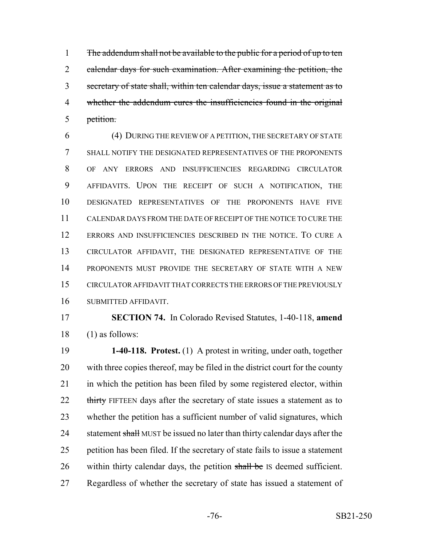1 The addendum shall not be available to the public for a period of up to ten 2 calendar days for such examination. After examining the petition, the secretary of state shall, within ten calendar days, issue a statement as to whether the addendum cures the insufficiencies found in the original petition.

 (4) DURING THE REVIEW OF A PETITION, THE SECRETARY OF STATE SHALL NOTIFY THE DESIGNATED REPRESENTATIVES OF THE PROPONENTS OF ANY ERRORS AND INSUFFICIENCIES REGARDING CIRCULATOR AFFIDAVITS. UPON THE RECEIPT OF SUCH A NOTIFICATION, THE DESIGNATED REPRESENTATIVES OF THE PROPONENTS HAVE FIVE CALENDAR DAYS FROM THE DATE OF RECEIPT OF THE NOTICE TO CURE THE ERRORS AND INSUFFICIENCIES DESCRIBED IN THE NOTICE. TO CURE A CIRCULATOR AFFIDAVIT, THE DESIGNATED REPRESENTATIVE OF THE PROPONENTS MUST PROVIDE THE SECRETARY OF STATE WITH A NEW CIRCULATOR AFFIDAVIT THAT CORRECTS THE ERRORS OF THE PREVIOUSLY SUBMITTED AFFIDAVIT.

 **SECTION 74.** In Colorado Revised Statutes, 1-40-118, **amend** (1) as follows:

 **1-40-118. Protest.** (1) A protest in writing, under oath, together with three copies thereof, may be filed in the district court for the county in which the petition has been filed by some registered elector, within 22 thirty FIFTEEN days after the secretary of state issues a statement as to whether the petition has a sufficient number of valid signatures, which 24 statement shall MUST be issued no later than thirty calendar days after the petition has been filed. If the secretary of state fails to issue a statement 26 within thirty calendar days, the petition shall be IS deemed sufficient. Regardless of whether the secretary of state has issued a statement of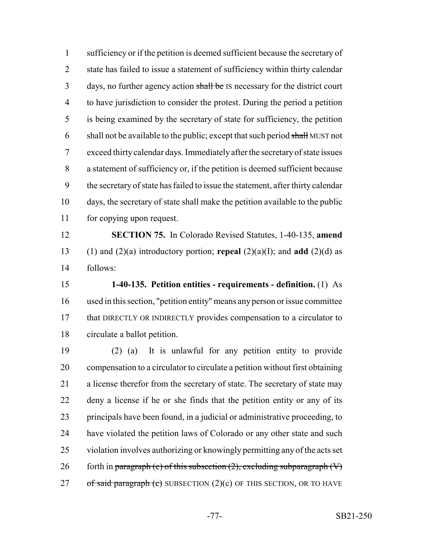sufficiency or if the petition is deemed sufficient because the secretary of state has failed to issue a statement of sufficiency within thirty calendar 3 days, no further agency action shall be IS necessary for the district court to have jurisdiction to consider the protest. During the period a petition is being examined by the secretary of state for sufficiency, the petition 6 shall not be available to the public; except that such period  $\frac{\text{shell}}{\text{shell}}$  MUST not exceed thirty calendar days. Immediately after the secretary of state issues a statement of sufficiency or, if the petition is deemed sufficient because the secretary of state has failed to issue the statement, after thirty calendar days, the secretary of state shall make the petition available to the public for copying upon request.

 **SECTION 75.** In Colorado Revised Statutes, 1-40-135, **amend** (1) and (2)(a) introductory portion; **repeal** (2)(a)(I); and **add** (2)(d) as follows:

 **1-40-135. Petition entities - requirements - definition.** (1) As used in this section, "petition entity" means any person or issue committee that DIRECTLY OR INDIRECTLY provides compensation to a circulator to circulate a ballot petition.

 (2) (a) It is unlawful for any petition entity to provide compensation to a circulator to circulate a petition without first obtaining a license therefor from the secretary of state. The secretary of state may deny a license if he or she finds that the petition entity or any of its principals have been found, in a judicial or administrative proceeding, to have violated the petition laws of Colorado or any other state and such violation involves authorizing or knowingly permitting any of the acts set 26 forth in paragraph (c) of this subsection  $(2)$ , excluding subparagraph  $(V)$ of said paragraph (c) SUBSECTION (2)(c) OF THIS SECTION, OR TO HAVE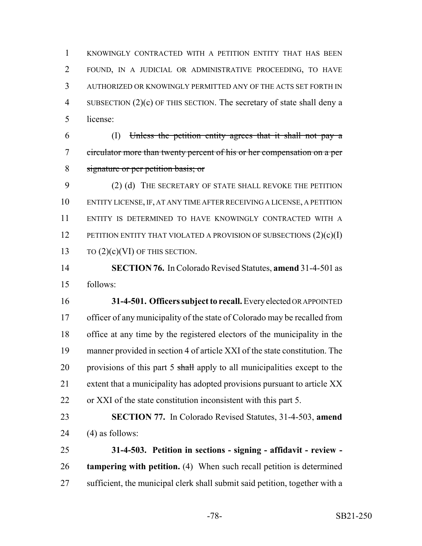KNOWINGLY CONTRACTED WITH A PETITION ENTITY THAT HAS BEEN FOUND, IN A JUDICIAL OR ADMINISTRATIVE PROCEEDING, TO HAVE AUTHORIZED OR KNOWINGLY PERMITTED ANY OF THE ACTS SET FORTH IN SUBSECTION (2)(c) OF THIS SECTION. The secretary of state shall deny a license:

 (I) Unless the petition entity agrees that it shall not pay a circulator more than twenty percent of his or her compensation on a per signature or per petition basis; or

 (2) (d) THE SECRETARY OF STATE SHALL REVOKE THE PETITION ENTITY LICENSE, IF, AT ANY TIME AFTER RECEIVING A LICENSE, A PETITION ENTITY IS DETERMINED TO HAVE KNOWINGLY CONTRACTED WITH A 12 PETITION ENTITY THAT VIOLATED A PROVISION OF SUBSECTIONS  $(2)(c)(I)$ 13 TO  $(2)(c)(VI)$  OF THIS SECTION.

 **SECTION 76.** In Colorado Revised Statutes, **amend** 31-4-501 as follows:

 **31-4-501. Officers subject to recall.** Every elected OR APPOINTED officer of any municipality of the state of Colorado may be recalled from office at any time by the registered electors of the municipality in the manner provided in section 4 of article XXI of the state constitution. The 20 provisions of this part 5 shall apply to all municipalities except to the extent that a municipality has adopted provisions pursuant to article XX or XXI of the state constitution inconsistent with this part 5.

 **SECTION 77.** In Colorado Revised Statutes, 31-4-503, **amend** 24  $(4)$  as follows:

 **31-4-503. Petition in sections - signing - affidavit - review - tampering with petition.** (4) When such recall petition is determined sufficient, the municipal clerk shall submit said petition, together with a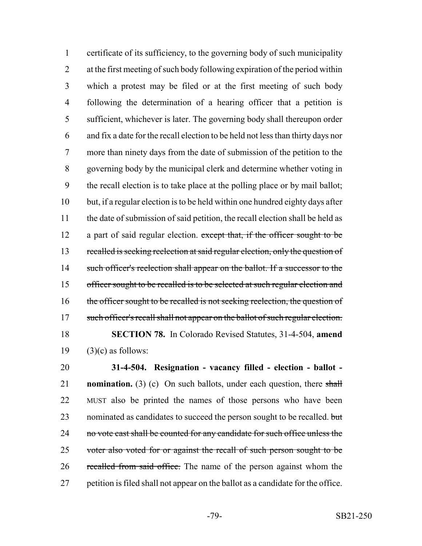certificate of its sufficiency, to the governing body of such municipality at the first meeting of such body following expiration of the period within which a protest may be filed or at the first meeting of such body following the determination of a hearing officer that a petition is sufficient, whichever is later. The governing body shall thereupon order and fix a date for the recall election to be held not less than thirty days nor more than ninety days from the date of submission of the petition to the governing body by the municipal clerk and determine whether voting in the recall election is to take place at the polling place or by mail ballot; but, if a regular election is to be held within one hundred eighty days after the date of submission of said petition, the recall election shall be held as 12 a part of said regular election. except that, if the officer sought to be 13 recalled is seeking reelection at said regular election, only the question of 14 such officer's reelection shall appear on the ballot. If a successor to the officer sought to be recalled is to be selected at such regular election and 16 the officer sought to be recalled is not seeking reelection, the question of 17 such officer's recall shall not appear on the ballot of such regular election. **SECTION 78.** In Colorado Revised Statutes, 31-4-504, **amend**  $(3)(c)$  as follows:

 **31-4-504. Resignation - vacancy filled - election - ballot - nomination.** (3) (c) On such ballots, under each question, there shall MUST also be printed the names of those persons who have been 23 nominated as candidates to succeed the person sought to be recalled. but 24 no vote cast shall be counted for any candidate for such office unless the 25 voter also voted for or against the recall of such person sought to be 26 recalled from said office. The name of the person against whom the petition is filed shall not appear on the ballot as a candidate for the office.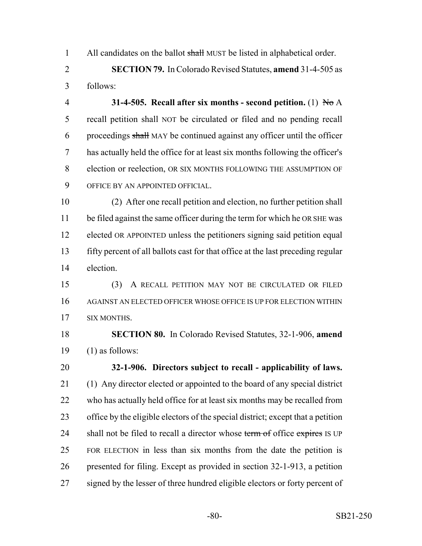1 All candidates on the ballot shall MUST be listed in alphabetical order.

 **SECTION 79.** In Colorado Revised Statutes, **amend** 31-4-505 as follows:

 **31-4-505. Recall after six months - second petition.** (1) No A recall petition shall NOT be circulated or filed and no pending recall proceedings shall MAY be continued against any officer until the officer has actually held the office for at least six months following the officer's election or reelection, OR SIX MONTHS FOLLOWING THE ASSUMPTION OF OFFICE BY AN APPOINTED OFFICIAL.

 (2) After one recall petition and election, no further petition shall 11 be filed against the same officer during the term for which he OR SHE was elected OR APPOINTED unless the petitioners signing said petition equal fifty percent of all ballots cast for that office at the last preceding regular election.

 (3) A RECALL PETITION MAY NOT BE CIRCULATED OR FILED AGAINST AN ELECTED OFFICER WHOSE OFFICE IS UP FOR ELECTION WITHIN SIX MONTHS.

 **SECTION 80.** In Colorado Revised Statutes, 32-1-906, **amend** 19  $(1)$  as follows:

 **32-1-906. Directors subject to recall - applicability of laws.** (1) Any director elected or appointed to the board of any special district who has actually held office for at least six months may be recalled from office by the eligible electors of the special district; except that a petition 24 shall not be filed to recall a director whose term of office expires IS UP FOR ELECTION in less than six months from the date the petition is presented for filing. Except as provided in section 32-1-913, a petition 27 signed by the lesser of three hundred eligible electors or forty percent of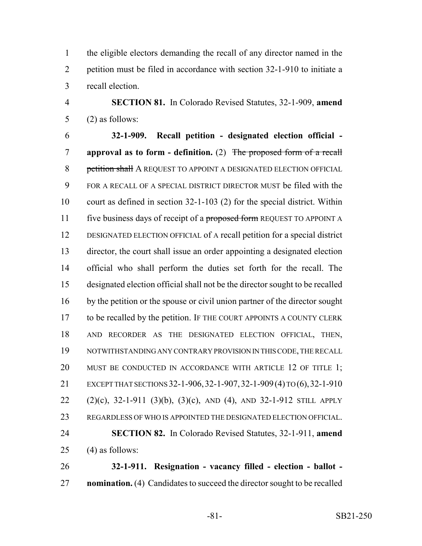the eligible electors demanding the recall of any director named in the petition must be filed in accordance with section 32-1-910 to initiate a recall election.

 **SECTION 81.** In Colorado Revised Statutes, 32-1-909, **amend** (2) as follows:

 **32-1-909. Recall petition - designated election official - approval as to form - definition.** (2) The proposed form of a recall 8 petition shall A REQUEST TO APPOINT A DESIGNATED ELECTION OFFICIAL FOR A RECALL OF A SPECIAL DISTRICT DIRECTOR MUST be filed with the court as defined in section 32-1-103 (2) for the special district. Within 11 five business days of receipt of a proposed form REQUEST TO APPOINT A DESIGNATED ELECTION OFFICIAL of A recall petition for a special district director, the court shall issue an order appointing a designated election official who shall perform the duties set forth for the recall. The designated election official shall not be the director sought to be recalled by the petition or the spouse or civil union partner of the director sought to be recalled by the petition. IF THE COURT APPOINTS A COUNTY CLERK AND RECORDER AS THE DESIGNATED ELECTION OFFICIAL, THEN, NOTWITHSTANDING ANY CONTRARY PROVISION IN THIS CODE, THE RECALL 20 MUST BE CONDUCTED IN ACCORDANCE WITH ARTICLE 12 OF TITLE 1; EXCEPT THAT SECTIONS 32-1-906,32-1-907,32-1-909(4) TO (6),32-1-910 (2)(c), 32-1-911 (3)(b), (3)(c), AND (4), AND 32-1-912 STILL APPLY REGARDLESS OF WHO IS APPOINTED THE DESIGNATED ELECTION OFFICIAL. **SECTION 82.** In Colorado Revised Statutes, 32-1-911, **amend** 25 (4) as follows:

 **32-1-911. Resignation - vacancy filled - election - ballot - nomination.** (4) Candidates to succeed the director sought to be recalled